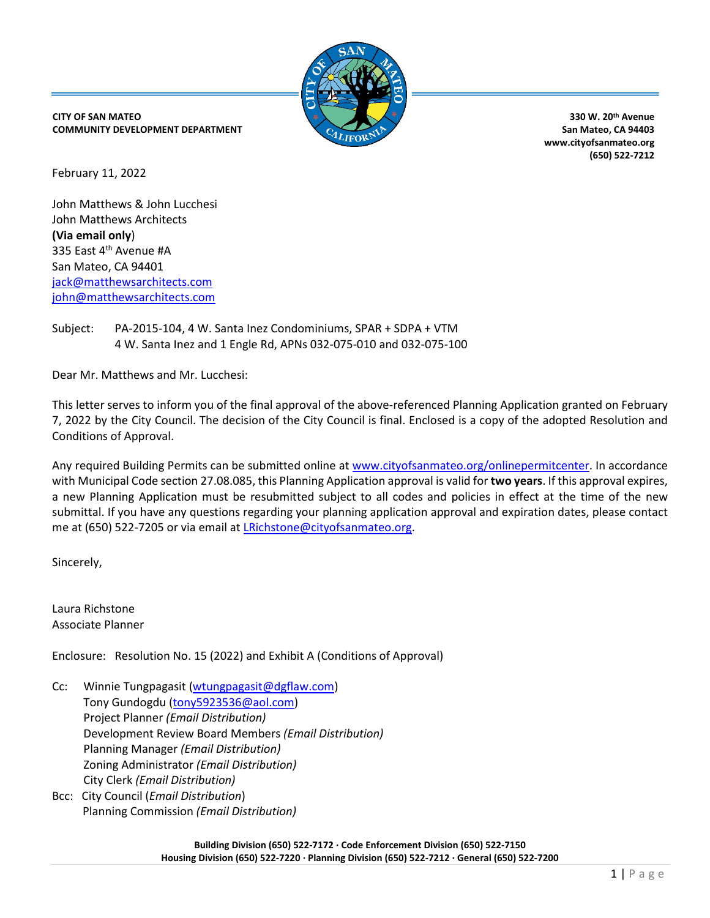

**CITY OF SAN MATEO COMMUNITY DEVELOPMENT DEPARTMENT**

**330 W. 20th Avenue San Mateo, CA 94403 www.cityofsanmateo.org (650) 522-7212**

February 11, 2022

John Matthews & John Lucchesi John Matthews Architects **(Via email only**) 335 East 4<sup>th</sup> Avenue #A San Mateo, CA 94401 [jack@matthewsarchitects.com](mailto:jack@matthewsarchitects.com) [john@matthewsarchitects.com](mailto:john@matthewsarchitects.com)

Subject: PA-2015-104, 4 W. Santa Inez Condominiums, SPAR + SDPA + VTM 4 W. Santa Inez and 1 Engle Rd, APNs 032-075-010 and 032-075-100

Dear Mr. Matthews and Mr. Lucchesi:

This letter serves to inform you of the final approval of the above-referenced Planning Application granted on February 7, 2022 by the City Council. The decision of the City Council is final. Enclosed is a copy of the adopted Resolution and Conditions of Approval.

Any required Building Permits can be submitted online at [www.cityofsanmateo.org/onlinepermitcenter.](http://www.cityofsanmateo.org/onlinepermitcenter) In accordance with Municipal Code section 27.08.085, this Planning Application approval is valid for **two years**. If this approval expires, a new Planning Application must be resubmitted subject to all codes and policies in effect at the time of the new submittal. If you have any questions regarding your planning application approval and expiration dates, please contact me at (650) 522-7205 or via email at *LRichstone@cityofsanmateo.org*.

Sincerely,

Laura Richstone Associate Planner

Enclosure: Resolution No. 15 (2022) and Exhibit A (Conditions of Approval)

- Cc:Winnie Tungpagasit [\(wtungpagasit@dgflaw.com\)](mailto:wtungpagasit@dgflaw.com) Tony Gundogdu [\(tony5923536@aol.com\)](mailto:tony5923536@aol.com) Project Planner *(Email Distribution)* Development Review Board Members *(Email Distribution)* Planning Manager *(Email Distribution)* Zoning Administrator *(Email Distribution)* City Clerk *(Email Distribution)*
- Bcc: City Council (*Email Distribution*) Planning Commission *(Email Distribution)*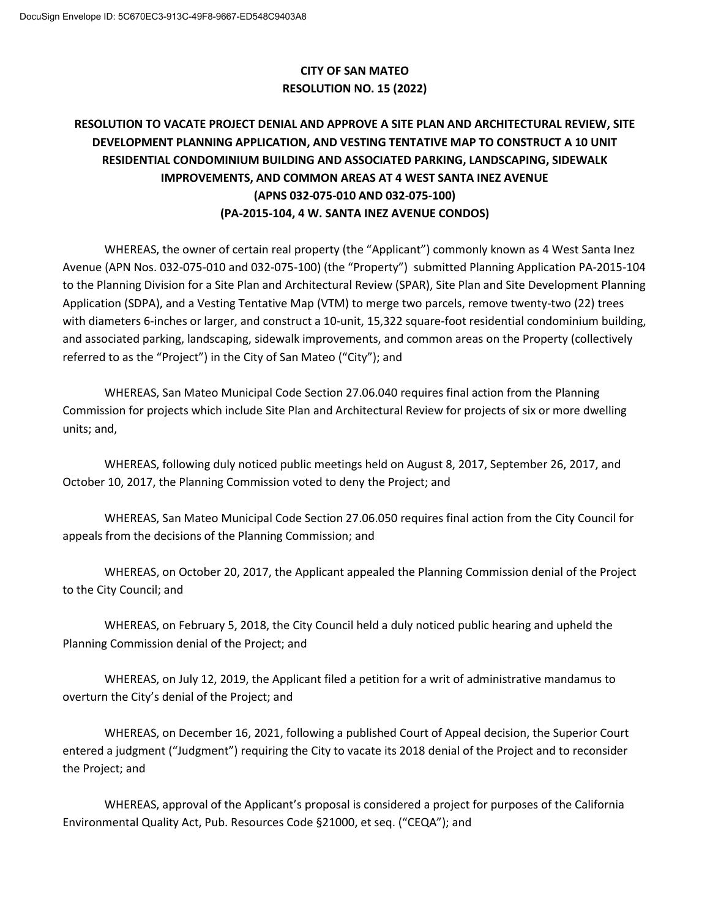# **CITY OF SAN MATEO RESOLUTION NO. 15 (2022)**

# **RESOLUTION TO VACATE PROJECT DENIAL AND APPROVE A SITE PLAN AND ARCHITECTURAL REVIEW, SITE DEVELOPMENT PLANNING APPLICATION, AND VESTING TENTATIVE MAP TO CONSTRUCT A 10 UNIT RESIDENTIAL CONDOMINIUM BUILDING AND ASSOCIATED PARKING, LANDSCAPING, SIDEWALK IMPROVEMENTS, AND COMMON AREAS AT 4 WEST SANTA INEZ AVENUE (APNS 032-075-010 AND 032-075-100) (PA-2015-104, 4 W. SANTA INEZ AVENUE CONDOS)**

WHEREAS, the owner of certain real property (the "Applicant") commonly known as 4 West Santa Inez Avenue (APN Nos. 032-075-010 and 032-075-100) (the "Property") submitted Planning Application PA-2015-104 to the Planning Division for a Site Plan and Architectural Review (SPAR), Site Plan and Site Development Planning Application (SDPA), and a Vesting Tentative Map (VTM) to merge two parcels, remove twenty-two (22) trees with diameters 6-inches or larger, and construct a 10-unit, 15,322 square-foot residential condominium building, and associated parking, landscaping, sidewalk improvements, and common areas on the Property (collectively referred to as the "Project") in the City of San Mateo ("City"); and

WHEREAS, San Mateo Municipal Code Section 27.06.040 requires final action from the Planning Commission for projects which include Site Plan and Architectural Review for projects of six or more dwelling units; and,

WHEREAS, following duly noticed public meetings held on August 8, 2017, September 26, 2017, and October 10, 2017, the Planning Commission voted to deny the Project; and

WHEREAS, San Mateo Municipal Code Section 27.06.050 requires final action from the City Council for appeals from the decisions of the Planning Commission; and

WHEREAS, on October 20, 2017, the Applicant appealed the Planning Commission denial of the Project to the City Council; and

WHEREAS, on February 5, 2018, the City Council held a duly noticed public hearing and upheld the Planning Commission denial of the Project; and

WHEREAS, on July 12, 2019, the Applicant filed a petition for a writ of administrative mandamus to overturn the City's denial of the Project; and

WHEREAS, on December 16, 2021, following a published Court of Appeal decision, the Superior Court entered a judgment ("Judgment") requiring the City to vacate its 2018 denial of the Project and to reconsider the Project; and

WHEREAS, approval of the Applicant's proposal is considered a project for purposes of the California Environmental Quality Act, Pub. Resources Code §21000, et seq. ("CEQA"); and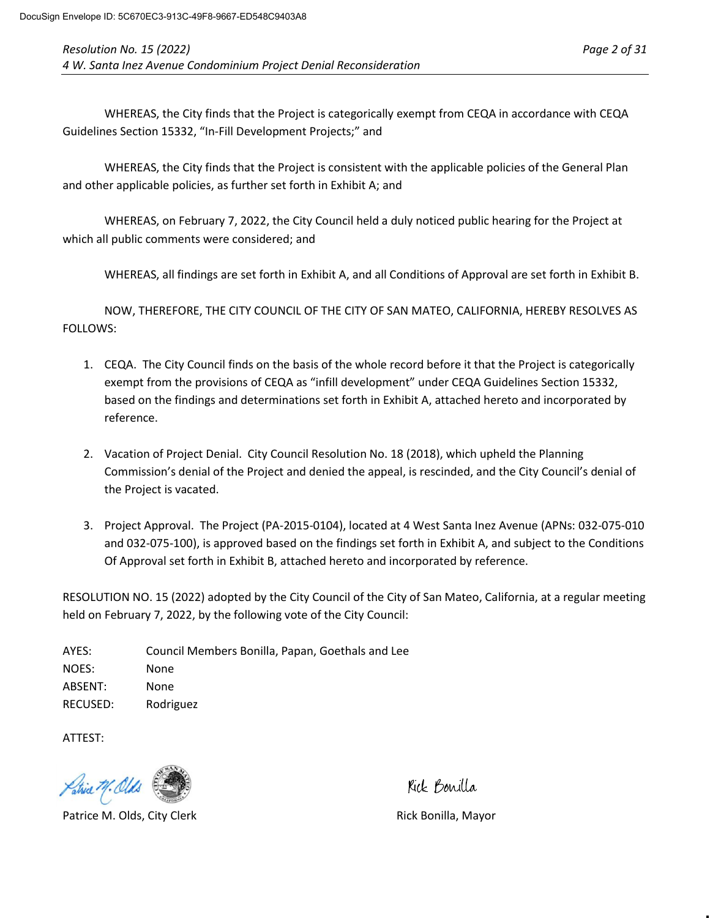WHEREAS, the City finds that the Project is categorically exempt from CEQA in accordance with CEQA Guidelines Section 15332, "In-Fill Development Projects;" and

WHEREAS, the City finds that the Project is consistent with the applicable policies of the General Plan and other applicable policies, as further set forth in Exhibit A; and

WHEREAS, on February 7, 2022, the City Council held a duly noticed public hearing for the Project at which all public comments were considered; and

WHEREAS, all findings are set forth in Exhibit A, and all Conditions of Approval are set forth in Exhibit B.

NOW, THEREFORE, THE CITY COUNCIL OF THE CITY OF SAN MATEO, CALIFORNIA, HEREBY RESOLVES AS FOLLOWS:

- 1. CEQA. The City Council finds on the basis of the whole record before it that the Project is categorically exempt from the provisions of CEQA as "infill development" under CEQA Guidelines Section 15332, based on the findings and determinations set forth in Exhibit A, attached hereto and incorporated by reference.
- 2. Vacation of Project Denial. City Council Resolution No. 18 (2018), which upheld the Planning Commission's denial of the Project and denied the appeal, is rescinded, and the City Council's denial of the Project is vacated.
- 3. Project Approval. The Project (PA-2015-0104), located at 4 West Santa Inez Avenue (APNs: 032-075-010 and 032-075-100), is approved based on the findings set forth in Exhibit A, and subject to the Conditions Of Approval set forth in Exhibit B, attached hereto and incorporated by reference.

RESOLUTION NO. 15 (2022) adopted by the City Council of the City of San Mateo, California, at a regular meeting held on February 7, 2022, by the following vote of the City Council:

AYES: Council Members Bonilla, Papan, Goethals and Lee NOES: None ABSENT: None RECUSED: Rodriguez

ATTEST:



Patrice M. Olds, City Clerk **Rick Bonilla, Mayor** Rick Bonilla, Mayor

Kick Bonilla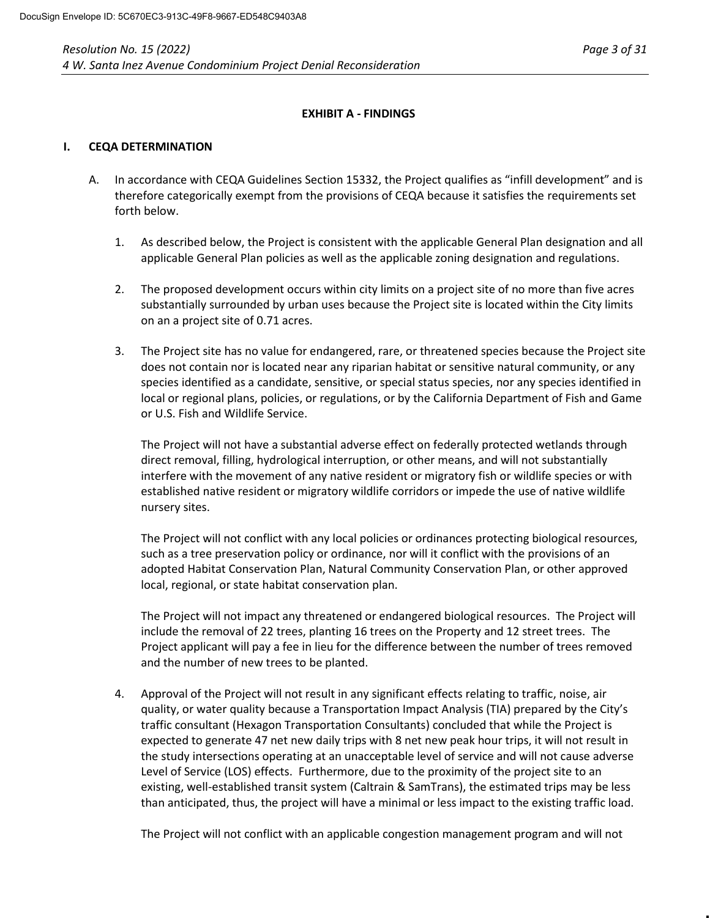## **EXHIBIT A - FINDINGS**

#### **I. CEQA DETERMINATION**

- A. In accordance with CEQA Guidelines Section 15332, the Project qualifies as "infill development" and is therefore categorically exempt from the provisions of CEQA because it satisfies the requirements set forth below.
	- 1. As described below, the Project is consistent with the applicable General Plan designation and all applicable General Plan policies as well as the applicable zoning designation and regulations.
	- 2. The proposed development occurs within city limits on a project site of no more than five acres substantially surrounded by urban uses because the Project site is located within the City limits on an a project site of 0.71 acres.
	- 3. The Project site has no value for endangered, rare, or threatened species because the Project site does not contain nor is located near any riparian habitat or sensitive natural community, or any species identified as a candidate, sensitive, or special status species, nor any species identified in local or regional plans, policies, or regulations, or by the California Department of Fish and Game or U.S. Fish and Wildlife Service.

The Project will not have a substantial adverse effect on federally protected wetlands through direct removal, filling, hydrological interruption, or other means, and will not substantially interfere with the movement of any native resident or migratory fish or wildlife species or with established native resident or migratory wildlife corridors or impede the use of native wildlife nursery sites.

The Project will not conflict with any local policies or ordinances protecting biological resources, such as a tree preservation policy or ordinance, nor will it conflict with the provisions of an adopted Habitat Conservation Plan, Natural Community Conservation Plan, or other approved local, regional, or state habitat conservation plan.

The Project will not impact any threatened or endangered biological resources. The Project will include the removal of 22 trees, planting 16 trees on the Property and 12 street trees. The Project applicant will pay a fee in lieu for the difference between the number of trees removed and the number of new trees to be planted.

4. Approval of the Project will not result in any significant effects relating to traffic, noise, air quality, or water quality because a Transportation Impact Analysis (TIA) prepared by the City's traffic consultant (Hexagon Transportation Consultants) concluded that while the Project is expected to generate 47 net new daily trips with 8 net new peak hour trips, it will not result in the study intersections operating at an unacceptable level of service and will not cause adverse Level of Service (LOS) effects. Furthermore, due to the proximity of the project site to an existing, well-established transit system (Caltrain & SamTrans), the estimated trips may be less than anticipated, thus, the project will have a minimal or less impact to the existing traffic load.

The Project will not conflict with an applicable congestion management program and will not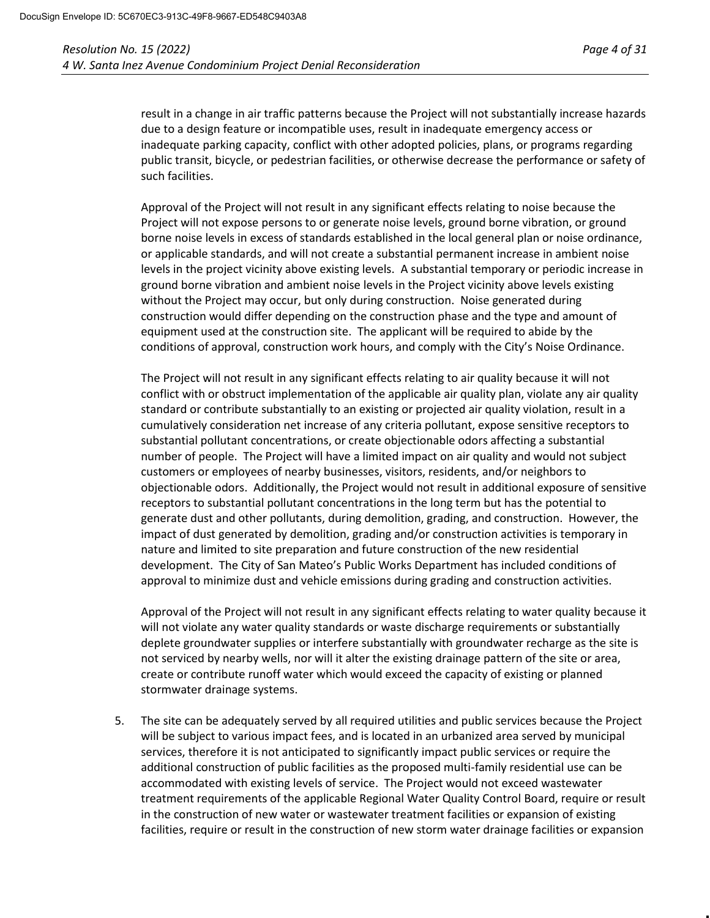result in a change in air traffic patterns because the Project will not substantially increase hazards due to a design feature or incompatible uses, result in inadequate emergency access or inadequate parking capacity, conflict with other adopted policies, plans, or programs regarding public transit, bicycle, or pedestrian facilities, or otherwise decrease the performance or safety of such facilities.

Approval of the Project will not result in any significant effects relating to noise because the Project will not expose persons to or generate noise levels, ground borne vibration, or ground borne noise levels in excess of standards established in the local general plan or noise ordinance, or applicable standards, and will not create a substantial permanent increase in ambient noise levels in the project vicinity above existing levels. A substantial temporary or periodic increase in ground borne vibration and ambient noise levels in the Project vicinity above levels existing without the Project may occur, but only during construction. Noise generated during construction would differ depending on the construction phase and the type and amount of equipment used at the construction site. The applicant will be required to abide by the conditions of approval, construction work hours, and comply with the City's Noise Ordinance.

The Project will not result in any significant effects relating to air quality because it will not conflict with or obstruct implementation of the applicable air quality plan, violate any air quality standard or contribute substantially to an existing or projected air quality violation, result in a cumulatively consideration net increase of any criteria pollutant, expose sensitive receptors to substantial pollutant concentrations, or create objectionable odors affecting a substantial number of people. The Project will have a limited impact on air quality and would not subject customers or employees of nearby businesses, visitors, residents, and/or neighbors to objectionable odors. Additionally, the Project would not result in additional exposure of sensitive receptors to substantial pollutant concentrations in the long term but has the potential to generate dust and other pollutants, during demolition, grading, and construction. However, the impact of dust generated by demolition, grading and/or construction activities is temporary in nature and limited to site preparation and future construction of the new residential development. The City of San Mateo's Public Works Department has included conditions of approval to minimize dust and vehicle emissions during grading and construction activities.

Approval of the Project will not result in any significant effects relating to water quality because it will not violate any water quality standards or waste discharge requirements or substantially deplete groundwater supplies or interfere substantially with groundwater recharge as the site is not serviced by nearby wells, nor will it alter the existing drainage pattern of the site or area, create or contribute runoff water which would exceed the capacity of existing or planned stormwater drainage systems.

5. The site can be adequately served by all required utilities and public services because the Project will be subject to various impact fees, and is located in an urbanized area served by municipal services, therefore it is not anticipated to significantly impact public services or require the additional construction of public facilities as the proposed multi-family residential use can be accommodated with existing levels of service. The Project would not exceed wastewater treatment requirements of the applicable Regional Water Quality Control Board, require or result in the construction of new water or wastewater treatment facilities or expansion of existing facilities, require or result in the construction of new storm water drainage facilities or expansion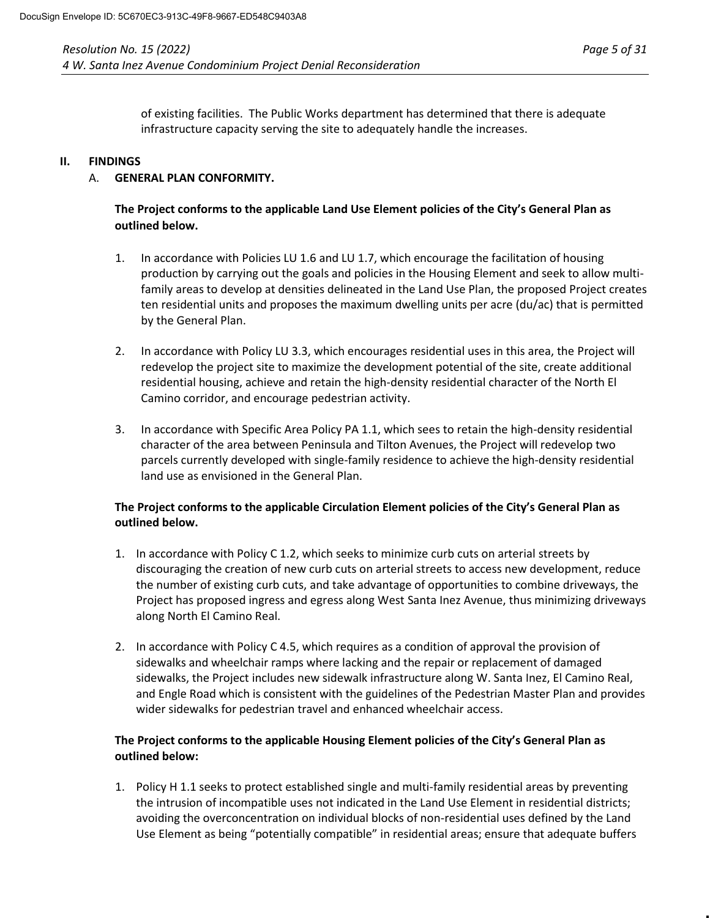of existing facilities. The Public Works department has determined that there is adequate infrastructure capacity serving the site to adequately handle the increases.

## **II. FINDINGS**

# A. **GENERAL PLAN CONFORMITY.**

# **The Project conforms to the applicable Land Use Element policies of the City's General Plan as outlined below.**

- 1. In accordance with Policies LU 1.6 and LU 1.7, which encourage the facilitation of housing production by carrying out the goals and policies in the Housing Element and seek to allow multifamily areas to develop at densities delineated in the Land Use Plan, the proposed Project creates ten residential units and proposes the maximum dwelling units per acre (du/ac) that is permitted by the General Plan.
- 2. In accordance with Policy LU 3.3, which encourages residential uses in this area, the Project will redevelop the project site to maximize the development potential of the site, create additional residential housing, achieve and retain the high-density residential character of the North El Camino corridor, and encourage pedestrian activity.
- 3. In accordance with Specific Area Policy PA 1.1, which sees to retain the high-density residential character of the area between Peninsula and Tilton Avenues, the Project will redevelop two parcels currently developed with single-family residence to achieve the high-density residential land use as envisioned in the General Plan.

# **The Project conforms to the applicable Circulation Element policies of the City's General Plan as outlined below.**

- 1. In accordance with Policy C 1.2, which seeks to minimize curb cuts on arterial streets by discouraging the creation of new curb cuts on arterial streets to access new development, reduce the number of existing curb cuts, and take advantage of opportunities to combine driveways, the Project has proposed ingress and egress along West Santa Inez Avenue, thus minimizing driveways along North El Camino Real.
- 2. In accordance with Policy C 4.5, which requires as a condition of approval the provision of sidewalks and wheelchair ramps where lacking and the repair or replacement of damaged sidewalks, the Project includes new sidewalk infrastructure along W. Santa Inez, El Camino Real, and Engle Road which is consistent with the guidelines of the Pedestrian Master Plan and provides wider sidewalks for pedestrian travel and enhanced wheelchair access.

# **The Project conforms to the applicable Housing Element policies of the City's General Plan as outlined below:**

1. Policy H 1.1 seeks to protect established single and multi-family residential areas by preventing the intrusion of incompatible uses not indicated in the Land Use Element in residential districts; avoiding the overconcentration on individual blocks of non-residential uses defined by the Land Use Element as being "potentially compatible" in residential areas; ensure that adequate buffers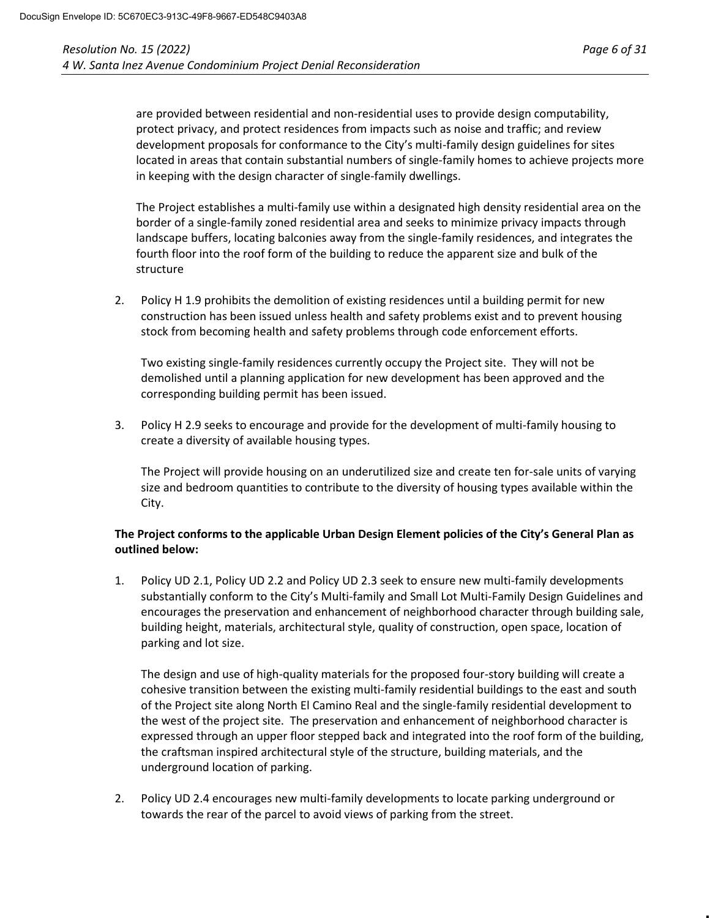are provided between residential and non-residential uses to provide design computability, protect privacy, and protect residences from impacts such as noise and traffic; and review development proposals for conformance to the City's multi-family design guidelines for sites located in areas that contain substantial numbers of single-family homes to achieve projects more in keeping with the design character of single-family dwellings.

The Project establishes a multi-family use within a designated high density residential area on the border of a single-family zoned residential area and seeks to minimize privacy impacts through landscape buffers, locating balconies away from the single-family residences, and integrates the fourth floor into the roof form of the building to reduce the apparent size and bulk of the structure

2. Policy H 1.9 prohibits the demolition of existing residences until a building permit for new construction has been issued unless health and safety problems exist and to prevent housing stock from becoming health and safety problems through code enforcement efforts.

Two existing single-family residences currently occupy the Project site. They will not be demolished until a planning application for new development has been approved and the corresponding building permit has been issued.

3. Policy H 2.9 seeks to encourage and provide for the development of multi-family housing to create a diversity of available housing types.

The Project will provide housing on an underutilized size and create ten for-sale units of varying size and bedroom quantities to contribute to the diversity of housing types available within the City.

# **The Project conforms to the applicable Urban Design Element policies of the City's General Plan as outlined below:**

1. Policy UD 2.1, Policy UD 2.2 and Policy UD 2.3 seek to ensure new multi-family developments substantially conform to the City's Multi-family and Small Lot Multi-Family Design Guidelines and encourages the preservation and enhancement of neighborhood character through building sale, building height, materials, architectural style, quality of construction, open space, location of parking and lot size.

The design and use of high-quality materials for the proposed four-story building will create a cohesive transition between the existing multi-family residential buildings to the east and south of the Project site along North El Camino Real and the single-family residential development to the west of the project site. The preservation and enhancement of neighborhood character is expressed through an upper floor stepped back and integrated into the roof form of the building, the craftsman inspired architectural style of the structure, building materials, and the underground location of parking.

2. Policy UD 2.4 encourages new multi-family developments to locate parking underground or towards the rear of the parcel to avoid views of parking from the street.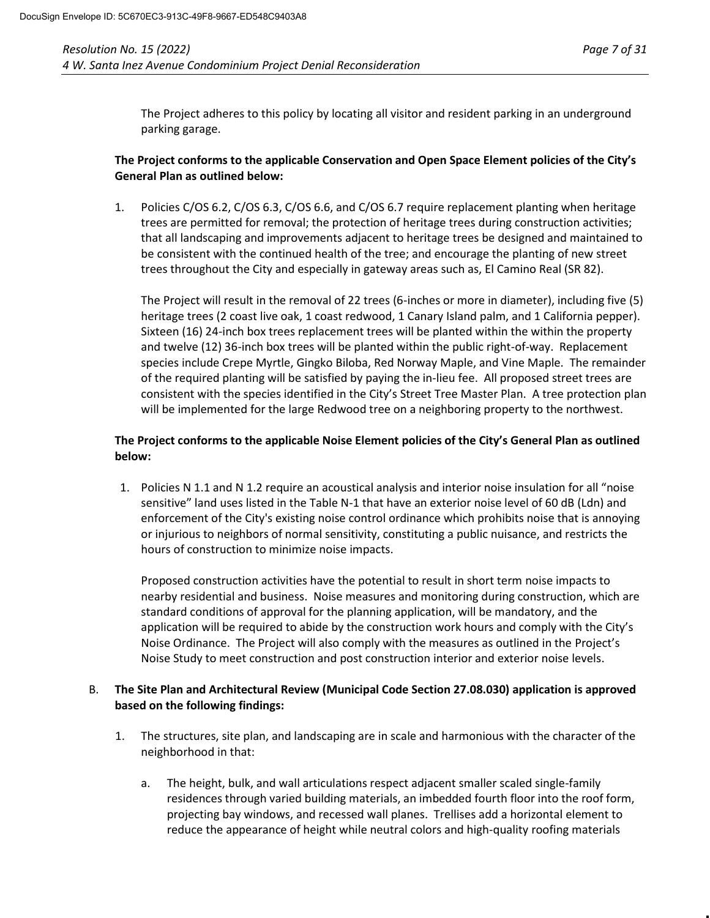The Project adheres to this policy by locating all visitor and resident parking in an underground parking garage.

# **The Project conforms to the applicable Conservation and Open Space Element policies of the City's General Plan as outlined below:**

1. Policies C/OS 6.2, C/OS 6.3, C/OS 6.6, and C/OS 6.7 require replacement planting when heritage trees are permitted for removal; the protection of heritage trees during construction activities; that all landscaping and improvements adjacent to heritage trees be designed and maintained to be consistent with the continued health of the tree; and encourage the planting of new street trees throughout the City and especially in gateway areas such as, El Camino Real (SR 82).

The Project will result in the removal of 22 trees (6-inches or more in diameter), including five (5) heritage trees (2 coast live oak, 1 coast redwood, 1 Canary Island palm, and 1 California pepper). Sixteen (16) 24-inch box trees replacement trees will be planted within the within the property and twelve (12) 36-inch box trees will be planted within the public right-of-way. Replacement species include Crepe Myrtle, Gingko Biloba, Red Norway Maple, and Vine Maple. The remainder of the required planting will be satisfied by paying the in-lieu fee. All proposed street trees are consistent with the species identified in the City's Street Tree Master Plan. A tree protection plan will be implemented for the large Redwood tree on a neighboring property to the northwest.

# **The Project conforms to the applicable Noise Element policies of the City's General Plan as outlined below:**

1. Policies N 1.1 and N 1.2 require an acoustical analysis and interior noise insulation for all "noise sensitive" land uses listed in the Table N-1 that have an exterior noise level of 60 dB (Ldn) and enforcement of the City's existing noise control ordinance which prohibits noise that is annoying or injurious to neighbors of normal sensitivity, constituting a public nuisance, and restricts the hours of construction to minimize noise impacts.

Proposed construction activities have the potential to result in short term noise impacts to nearby residential and business. Noise measures and monitoring during construction, which are standard conditions of approval for the planning application, will be mandatory, and the application will be required to abide by the construction work hours and comply with the City's Noise Ordinance. The Project will also comply with the measures as outlined in the Project's Noise Study to meet construction and post construction interior and exterior noise levels.

# B. **The Site Plan and Architectural Review (Municipal Code Section 27.08.030) application is approved based on the following findings:**

- 1. The structures, site plan, and landscaping are in scale and harmonious with the character of the neighborhood in that:
	- a. The height, bulk, and wall articulations respect adjacent smaller scaled single-family residences through varied building materials, an imbedded fourth floor into the roof form, projecting bay windows, and recessed wall planes. Trellises add a horizontal element to reduce the appearance of height while neutral colors and high-quality roofing materials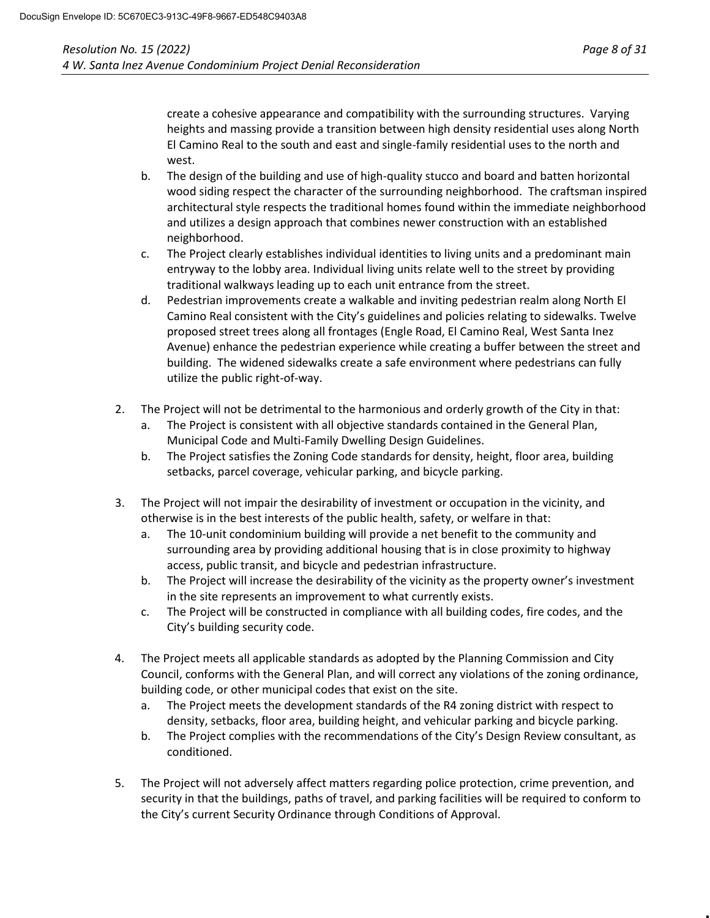create a cohesive appearance and compatibility with the surrounding structures. Varying heights and massing provide a transition between high density residential uses along North El Camino Real to the south and east and single-family residential uses to the north and west.

- b. The design of the building and use of high-quality stucco and board and batten horizontal wood siding respect the character of the surrounding neighborhood. The craftsman inspired architectural style respects the traditional homes found within the immediate neighborhood and utilizes a design approach that combines newer construction with an established neighborhood.
- c. The Project clearly establishes individual identities to living units and a predominant main entryway to the lobby area. Individual living units relate well to the street by providing traditional walkways leading up to each unit entrance from the street.
- d. Pedestrian improvements create a walkable and inviting pedestrian realm along North El Camino Real consistent with the City's guidelines and policies relating to sidewalks. Twelve proposed street trees along all frontages (Engle Road, El Camino Real, West Santa Inez Avenue) enhance the pedestrian experience while creating a buffer between the street and building. The widened sidewalks create a safe environment where pedestrians can fully utilize the public right-of-way.
- 2. The Project will not be detrimental to the harmonious and orderly growth of the City in that:
	- a. The Project is consistent with all objective standards contained in the General Plan, Municipal Code and Multi-Family Dwelling Design Guidelines.
	- b. The Project satisfies the Zoning Code standards for density, height, floor area, building setbacks, parcel coverage, vehicular parking, and bicycle parking.
- 3. The Project will not impair the desirability of investment or occupation in the vicinity, and otherwise is in the best interests of the public health, safety, or welfare in that:
	- a. The 10-unit condominium building will provide a net benefit to the community and surrounding area by providing additional housing that is in close proximity to highway access, public transit, and bicycle and pedestrian infrastructure.
	- b. The Project will increase the desirability of the vicinity as the property owner's investment in the site represents an improvement to what currently exists.
	- c. The Project will be constructed in compliance with all building codes, fire codes, and the City's building security code.
- 4. The Project meets all applicable standards as adopted by the Planning Commission and City Council, conforms with the General Plan, and will correct any violations of the zoning ordinance, building code, or other municipal codes that exist on the site.
	- a. The Project meets the development standards of the R4 zoning district with respect to density, setbacks, floor area, building height, and vehicular parking and bicycle parking.
	- b. The Project complies with the recommendations of the City's Design Review consultant, as conditioned.
- 5. The Project will not adversely affect matters regarding police protection, crime prevention, and security in that the buildings, paths of travel, and parking facilities will be required to conform to the City's current Security Ordinance through Conditions of Approval.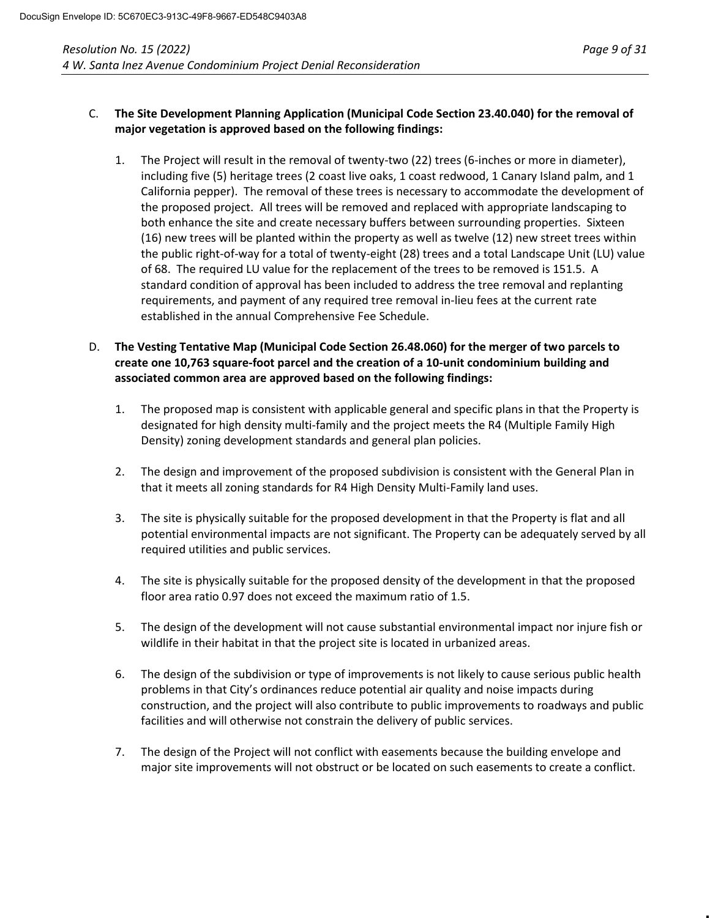# C. **The Site Development Planning Application (Municipal Code Section 23.40.040) for the removal of major vegetation is approved based on the following findings:**

- 1. The Project will result in the removal of twenty-two (22) trees (6-inches or more in diameter), including five (5) heritage trees (2 coast live oaks, 1 coast redwood, 1 Canary Island palm, and 1 California pepper). The removal of these trees is necessary to accommodate the development of the proposed project. All trees will be removed and replaced with appropriate landscaping to both enhance the site and create necessary buffers between surrounding properties. Sixteen (16) new trees will be planted within the property as well as twelve (12) new street trees within the public right-of-way for a total of twenty-eight (28) trees and a total Landscape Unit (LU) value of 68. The required LU value for the replacement of the trees to be removed is 151.5. A standard condition of approval has been included to address the tree removal and replanting requirements, and payment of any required tree removal in-lieu fees at the current rate established in the annual Comprehensive Fee Schedule.
- D. **The Vesting Tentative Map (Municipal Code Section 26.48.060) for the merger of two parcels to create one 10,763 square-foot parcel and the creation of a 10-unit condominium building and associated common area are approved based on the following findings:**
	- 1. The proposed map is consistent with applicable general and specific plans in that the Property is designated for high density multi-family and the project meets the R4 (Multiple Family High Density) zoning development standards and general plan policies.
	- 2. The design and improvement of the proposed subdivision is consistent with the General Plan in that it meets all zoning standards for R4 High Density Multi-Family land uses.
	- 3. The site is physically suitable for the proposed development in that the Property is flat and all potential environmental impacts are not significant. The Property can be adequately served by all required utilities and public services.
	- 4. The site is physically suitable for the proposed density of the development in that the proposed floor area ratio 0.97 does not exceed the maximum ratio of 1.5.
	- 5. The design of the development will not cause substantial environmental impact nor injure fish or wildlife in their habitat in that the project site is located in urbanized areas.
	- 6. The design of the subdivision or type of improvements is not likely to cause serious public health problems in that City's ordinances reduce potential air quality and noise impacts during construction, and the project will also contribute to public improvements to roadways and public facilities and will otherwise not constrain the delivery of public services.
	- 7. The design of the Project will not conflict with easements because the building envelope and major site improvements will not obstruct or be located on such easements to create a conflict.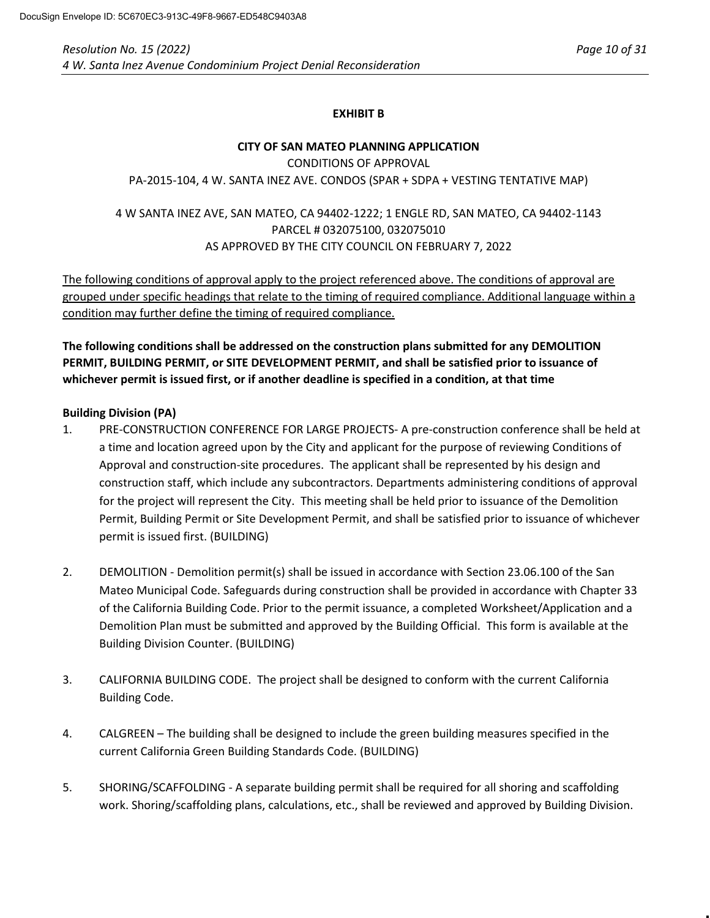# **EXHIBIT B**

## **CITY OF SAN MATEO PLANNING APPLICATION** CONDITIONS OF APPROVAL PA-2015-104, 4 W. SANTA INEZ AVE. CONDOS (SPAR + SDPA + VESTING TENTATIVE MAP)

# 4 W SANTA INEZ AVE, SAN MATEO, CA 94402-1222; 1 ENGLE RD, SAN MATEO, CA 94402-1143 PARCEL # 032075100, 032075010 AS APPROVED BY THE CITY COUNCIL ON FEBRUARY 7, 2022

The following conditions of approval apply to the project referenced above. The conditions of approval are grouped under specific headings that relate to the timing of required compliance. Additional language within a condition may further define the timing of required compliance.

**The following conditions shall be addressed on the construction plans submitted for any DEMOLITION PERMIT, BUILDING PERMIT, or SITE DEVELOPMENT PERMIT, and shall be satisfied prior to issuance of whichever permit is issued first, or if another deadline is specified in a condition, at that time**

# **Building Division (PA)**

- 1. PRE-CONSTRUCTION CONFERENCE FOR LARGE PROJECTS- A pre-construction conference shall be held at a time and location agreed upon by the City and applicant for the purpose of reviewing Conditions of Approval and construction-site procedures. The applicant shall be represented by his design and construction staff, which include any subcontractors. Departments administering conditions of approval for the project will represent the City. This meeting shall be held prior to issuance of the Demolition Permit, Building Permit or Site Development Permit, and shall be satisfied prior to issuance of whichever permit is issued first. (BUILDING)
- 2. DEMOLITION Demolition permit(s) shall be issued in accordance with Section 23.06.100 of the San Mateo Municipal Code. Safeguards during construction shall be provided in accordance with Chapter 33 of the California Building Code. Prior to the permit issuance, a completed Worksheet/Application and a Demolition Plan must be submitted and approved by the Building Official. This form is available at the Building Division Counter. (BUILDING)
- 3. CALIFORNIA BUILDING CODE. The project shall be designed to conform with the current California Building Code.
- 4. CALGREEN The building shall be designed to include the green building measures specified in the current California Green Building Standards Code. (BUILDING)
- 5. SHORING/SCAFFOLDING A separate building permit shall be required for all shoring and scaffolding work. Shoring/scaffolding plans, calculations, etc., shall be reviewed and approved by Building Division.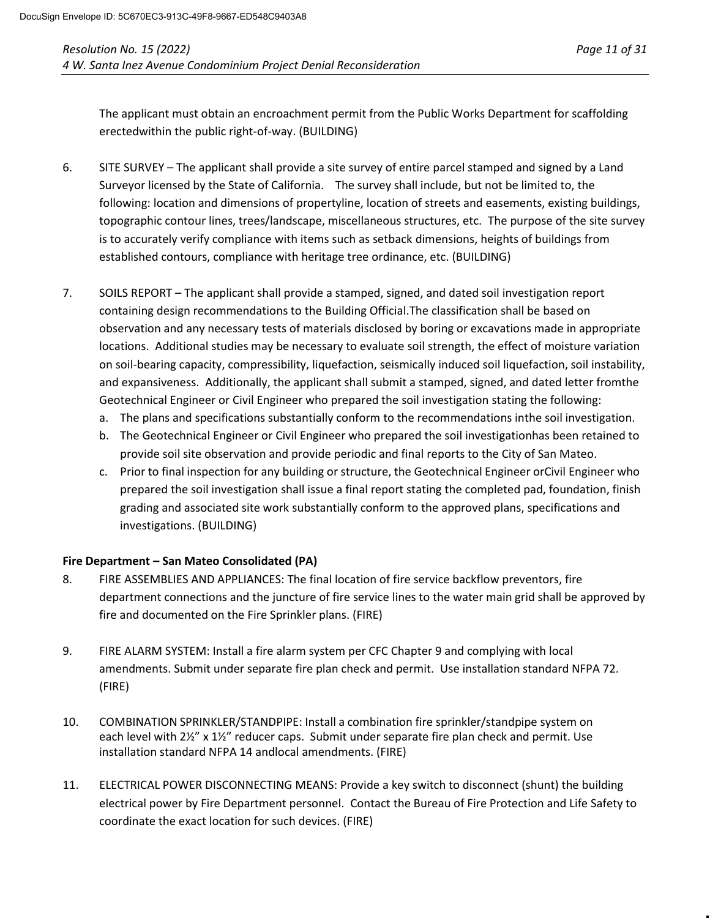The applicant must obtain an encroachment permit from the Public Works Department for scaffolding erectedwithin the public right-of-way. (BUILDING)

- 6. SITE SURVEY The applicant shall provide a site survey of entire parcel stamped and signed by a Land Surveyor licensed by the State of California. The survey shall include, but not be limited to, the following: location and dimensions of propertyline, location of streets and easements, existing buildings, topographic contour lines, trees/landscape, miscellaneous structures, etc. The purpose of the site survey is to accurately verify compliance with items such as setback dimensions, heights of buildings from established contours, compliance with heritage tree ordinance, etc. (BUILDING)
- 7. SOILS REPORT The applicant shall provide a stamped, signed, and dated soil investigation report containing design recommendations to the Building Official.The classification shall be based on observation and any necessary tests of materials disclosed by boring or excavations made in appropriate locations. Additional studies may be necessary to evaluate soil strength, the effect of moisture variation on soil-bearing capacity, compressibility, liquefaction, seismically induced soil liquefaction, soil instability, and expansiveness. Additionally, the applicant shall submit a stamped, signed, and dated letter fromthe Geotechnical Engineer or Civil Engineer who prepared the soil investigation stating the following:
	- a. The plans and specifications substantially conform to the recommendations inthe soil investigation.
	- b. The Geotechnical Engineer or Civil Engineer who prepared the soil investigationhas been retained to provide soil site observation and provide periodic and final reports to the City of San Mateo.
	- c. Prior to final inspection for any building or structure, the Geotechnical Engineer orCivil Engineer who prepared the soil investigation shall issue a final report stating the completed pad, foundation, finish grading and associated site work substantially conform to the approved plans, specifications and investigations. (BUILDING)

# **Fire Department – San Mateo Consolidated (PA)**

- 8. FIRE ASSEMBLIES AND APPLIANCES: The final location of fire service backflow preventors, fire department connections and the juncture of fire service lines to the water main grid shall be approved by fire and documented on the Fire Sprinkler plans. (FIRE)
- 9. FIRE ALARM SYSTEM: Install a fire alarm system per CFC Chapter 9 and complying with local amendments. Submit under separate fire plan check and permit. Use installation standard NFPA 72. (FIRE)
- 10. COMBINATION SPRINKLER/STANDPIPE: Install a combination fire sprinkler/standpipe system on each level with 2½" x 1½" reducer caps. Submit under separate fire plan check and permit. Use installation standard NFPA 14 andlocal amendments. (FIRE)
- 11. ELECTRICAL POWER DISCONNECTING MEANS: Provide a key switch to disconnect (shunt) the building electrical power by Fire Department personnel. Contact the Bureau of Fire Protection and Life Safety to coordinate the exact location for such devices. (FIRE)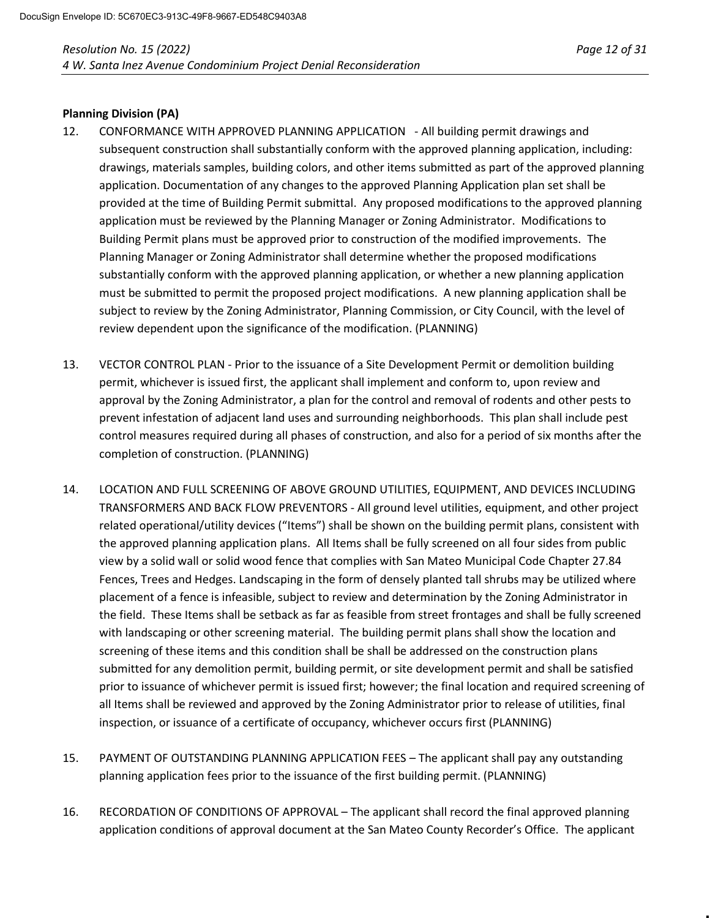#### **Planning Division (PA)**

- 12. CONFORMANCE WITH APPROVED PLANNING APPLICATION All building permit drawings and subsequent construction shall substantially conform with the approved planning application, including: drawings, materials samples, building colors, and other items submitted as part of the approved planning application. Documentation of any changes to the approved Planning Application plan set shall be provided at the time of Building Permit submittal. Any proposed modifications to the approved planning application must be reviewed by the Planning Manager or Zoning Administrator. Modifications to Building Permit plans must be approved prior to construction of the modified improvements. The Planning Manager or Zoning Administrator shall determine whether the proposed modifications substantially conform with the approved planning application, or whether a new planning application must be submitted to permit the proposed project modifications. A new planning application shall be subject to review by the Zoning Administrator, Planning Commission, or City Council, with the level of review dependent upon the significance of the modification. (PLANNING)
- 13. VECTOR CONTROL PLAN Prior to the issuance of a Site Development Permit or demolition building permit, whichever is issued first, the applicant shall implement and conform to, upon review and approval by the Zoning Administrator, a plan for the control and removal of rodents and other pests to prevent infestation of adjacent land uses and surrounding neighborhoods. This plan shall include pest control measures required during all phases of construction, and also for a period of six months after the completion of construction. (PLANNING)
- 14. LOCATION AND FULL SCREENING OF ABOVE GROUND UTILITIES, EQUIPMENT, AND DEVICES INCLUDING TRANSFORMERS AND BACK FLOW PREVENTORS - All ground level utilities, equipment, and other project related operational/utility devices ("Items") shall be shown on the building permit plans, consistent with the approved planning application plans. All Items shall be fully screened on all four sides from public view by a solid wall or solid wood fence that complies with San Mateo Municipal Code Chapter 27.84 Fences, Trees and Hedges. Landscaping in the form of densely planted tall shrubs may be utilized where placement of a fence is infeasible, subject to review and determination by the Zoning Administrator in the field. These Items shall be setback as far as feasible from street frontages and shall be fully screened with landscaping or other screening material. The building permit plans shall show the location and screening of these items and this condition shall be shall be addressed on the construction plans submitted for any demolition permit, building permit, or site development permit and shall be satisfied prior to issuance of whichever permit is issued first; however; the final location and required screening of all Items shall be reviewed and approved by the Zoning Administrator prior to release of utilities, final inspection, or issuance of a certificate of occupancy, whichever occurs first (PLANNING)
- 15. PAYMENT OF OUTSTANDING PLANNING APPLICATION FEES The applicant shall pay any outstanding planning application fees prior to the issuance of the first building permit. (PLANNING)
- 16. RECORDATION OF CONDITIONS OF APPROVAL The applicant shall record the final approved planning application conditions of approval document at the San Mateo County Recorder's Office. The applicant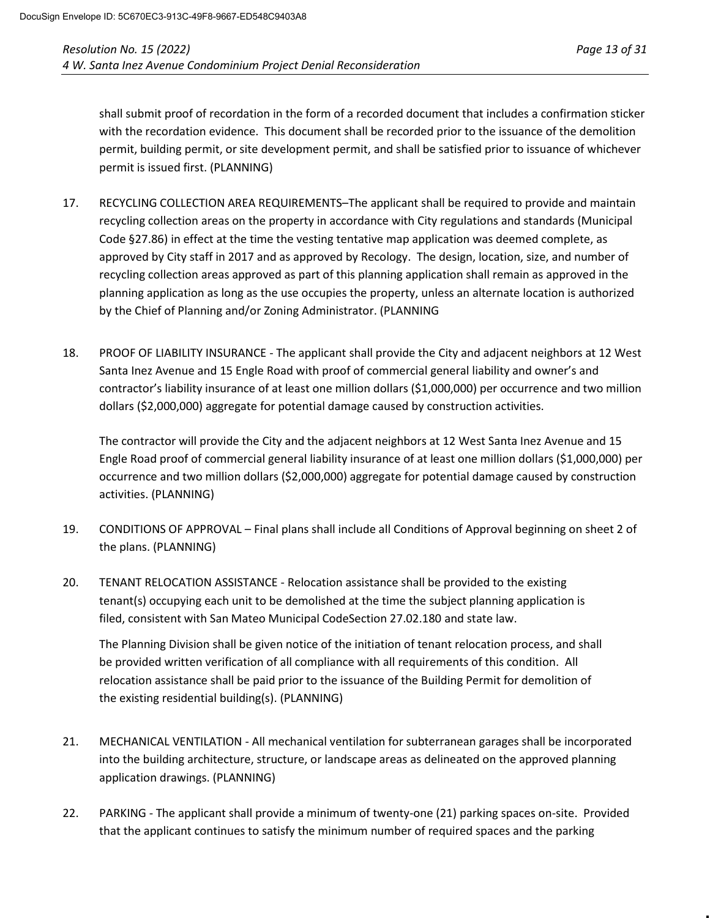shall submit proof of recordation in the form of a recorded document that includes a confirmation sticker with the recordation evidence. This document shall be recorded prior to the issuance of the demolition permit, building permit, or site development permit, and shall be satisfied prior to issuance of whichever permit is issued first. (PLANNING)

- 17. RECYCLING COLLECTION AREA REQUIREMENTS–The applicant shall be required to provide and maintain recycling collection areas on the property in accordance with City regulations and standards (Municipal Code §27.86) in effect at the time the vesting tentative map application was deemed complete, as approved by City staff in 2017 and as approved by Recology. The design, location, size, and number of recycling collection areas approved as part of this planning application shall remain as approved in the planning application as long as the use occupies the property, unless an alternate location is authorized by the Chief of Planning and/or Zoning Administrator. (PLANNING
- 18. PROOF OF LIABILITY INSURANCE The applicant shall provide the City and adjacent neighbors at 12 West Santa Inez Avenue and 15 Engle Road with proof of commercial general liability and owner's and contractor's liability insurance of at least one million dollars (\$1,000,000) per occurrence and two million dollars (\$2,000,000) aggregate for potential damage caused by construction activities.

The contractor will provide the City and the adjacent neighbors at 12 West Santa Inez Avenue and 15 Engle Road proof of commercial general liability insurance of at least one million dollars (\$1,000,000) per occurrence and two million dollars (\$2,000,000) aggregate for potential damage caused by construction activities. (PLANNING)

- 19. CONDITIONS OF APPROVAL Final plans shall include all Conditions of Approval beginning on sheet 2 of the plans. (PLANNING)
- 20. TENANT RELOCATION ASSISTANCE Relocation assistance shall be provided to the existing tenant(s) occupying each unit to be demolished at the time the subject planning application is filed, consistent with San Mateo Municipal CodeSection 27.02.180 and state law.

The Planning Division shall be given notice of the initiation of tenant relocation process, and shall be provided written verification of all compliance with all requirements of this condition. All relocation assistance shall be paid prior to the issuance of the Building Permit for demolition of the existing residential building(s). (PLANNING)

- 21. MECHANICAL VENTILATION All mechanical ventilation for subterranean garages shall be incorporated into the building architecture, structure, or landscape areas as delineated on the approved planning application drawings. (PLANNING)
- 22. PARKING The applicant shall provide a minimum of twenty-one (21) parking spaces on-site. Provided that the applicant continues to satisfy the minimum number of required spaces and the parking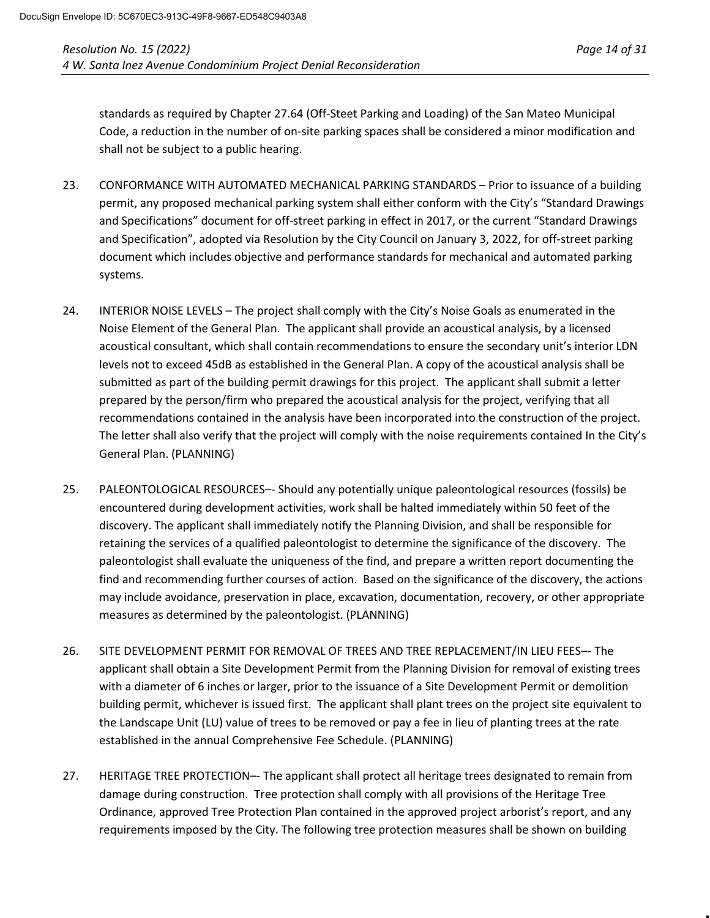standards as required by Chapter 27.64 (Off-Steet Parking and Loading) of the San Mateo Municipal Code, a reduction in the number of on-site parking spaces shall be considered a minor modification and shall not be subject to a public hearing.

- 23. CONFORMANCE WITH AUTOMATED MECHANICAL PARKING STANDARDS Prior to issuance of a building permit, any proposed mechanical parking system shall either conform with the City's "Standard Drawings and Specifications" document for off-street parking in effect in 2017, or the current "Standard Drawings and Specification", adopted via Resolution by the City Council on January 3, 2022, for off-street parking document which includes objective and performance standards for mechanical and automated parking systems.
- 24. INTERIOR NOISE LEVELS The project shall comply with the City's Noise Goals as enumerated in the Noise Element of the General Plan. The applicant shall provide an acoustical analysis, by a licensed acoustical consultant, which shall contain recommendations to ensure the secondary unit's interior LDN levels not to exceed 45dB as established in the General Plan. A copy of the acoustical analysis shall be submitted as part of the building permit drawings for this project. The applicant shall submit a letter prepared by the person/firm who prepared the acoustical analysis for the project, verifying that all recommendations contained in the analysis have been incorporated into the construction of the project. The letter shall also verify that the project will comply with the noise requirements contained In the City's General Plan. (PLANNING)
- 25. PALEONTOLOGICAL RESOURCES–- Should any potentially unique paleontological resources (fossils) be encountered during development activities, work shall be halted immediately within 50 feet of the discovery. The applicant shall immediately notify the Planning Division, and shall be responsible for retaining the services of a qualified paleontologist to determine the significance of the discovery. The paleontologist shall evaluate the uniqueness of the find, and prepare a written report documenting the find and recommending further courses of action. Based on the significance of the discovery, the actions may include avoidance, preservation in place, excavation, documentation, recovery, or other appropriate measures as determined by the paleontologist. (PLANNING)
- 26. SITE DEVELOPMENT PERMIT FOR REMOVAL OF TREES AND TREE REPLACEMENT/IN LIEU FEES–- The applicant shall obtain a Site Development Permit from the Planning Division for removal of existing trees with a diameter of 6 inches or larger, prior to the issuance of a Site Development Permit or demolition building permit, whichever is issued first. The applicant shall plant trees on the project site equivalent to the Landscape Unit (LU) value of trees to be removed or pay a fee in lieu of planting trees at the rate established in the annual Comprehensive Fee Schedule. (PLANNING)
- 27. HERITAGE TREE PROTECTION–- The applicant shall protect all heritage trees designated to remain from damage during construction. Tree protection shall comply with all provisions of the Heritage Tree Ordinance, approved Tree Protection Plan contained in the approved project arborist's report, and any requirements imposed by the City. The following tree protection measures shall be shown on building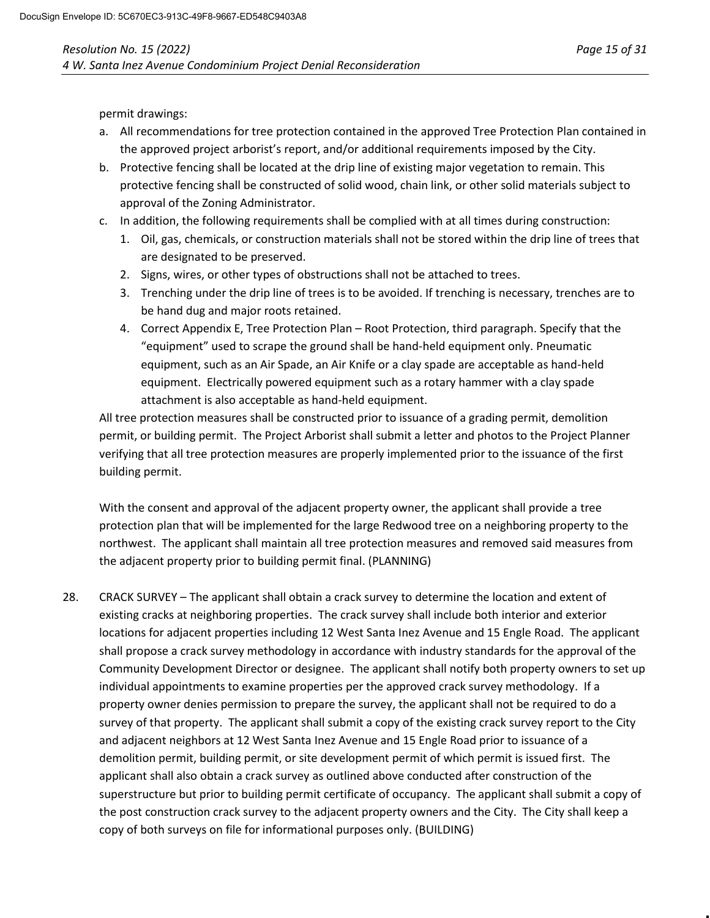permit drawings:

- a. All recommendations for tree protection contained in the approved Tree Protection Plan contained in the approved project arborist's report, and/or additional requirements imposed by the City.
- b. Protective fencing shall be located at the drip line of existing major vegetation to remain. This protective fencing shall be constructed of solid wood, chain link, or other solid materials subject to approval of the Zoning Administrator.
- c. In addition, the following requirements shall be complied with at all times during construction:
	- 1. Oil, gas, chemicals, or construction materials shall not be stored within the drip line of trees that are designated to be preserved.
	- 2. Signs, wires, or other types of obstructions shall not be attached to trees.
	- 3. Trenching under the drip line of trees is to be avoided. If trenching is necessary, trenches are to be hand dug and major roots retained.
	- 4. Correct Appendix E, Tree Protection Plan Root Protection, third paragraph. Specify that the "equipment" used to scrape the ground shall be hand-held equipment only. Pneumatic equipment, such as an Air Spade, an Air Knife or a clay spade are acceptable as hand-held equipment. Electrically powered equipment such as a rotary hammer with a clay spade attachment is also acceptable as hand-held equipment.

All tree protection measures shall be constructed prior to issuance of a grading permit, demolition permit, or building permit. The Project Arborist shall submit a letter and photos to the Project Planner verifying that all tree protection measures are properly implemented prior to the issuance of the first building permit.

With the consent and approval of the adjacent property owner, the applicant shall provide a tree protection plan that will be implemented for the large Redwood tree on a neighboring property to the northwest. The applicant shall maintain all tree protection measures and removed said measures from the adjacent property prior to building permit final. (PLANNING)

28. CRACK SURVEY – The applicant shall obtain a crack survey to determine the location and extent of existing cracks at neighboring properties. The crack survey shall include both interior and exterior locations for adjacent properties including 12 West Santa Inez Avenue and 15 Engle Road. The applicant shall propose a crack survey methodology in accordance with industry standards for the approval of the Community Development Director or designee. The applicant shall notify both property owners to set up individual appointments to examine properties per the approved crack survey methodology. If a property owner denies permission to prepare the survey, the applicant shall not be required to do a survey of that property. The applicant shall submit a copy of the existing crack survey report to the City and adjacent neighbors at 12 West Santa Inez Avenue and 15 Engle Road prior to issuance of a demolition permit, building permit, or site development permit of which permit is issued first. The applicant shall also obtain a crack survey as outlined above conducted after construction of the superstructure but prior to building permit certificate of occupancy. The applicant shall submit a copy of the post construction crack survey to the adjacent property owners and the City. The City shall keep a copy of both surveys on file for informational purposes only. (BUILDING)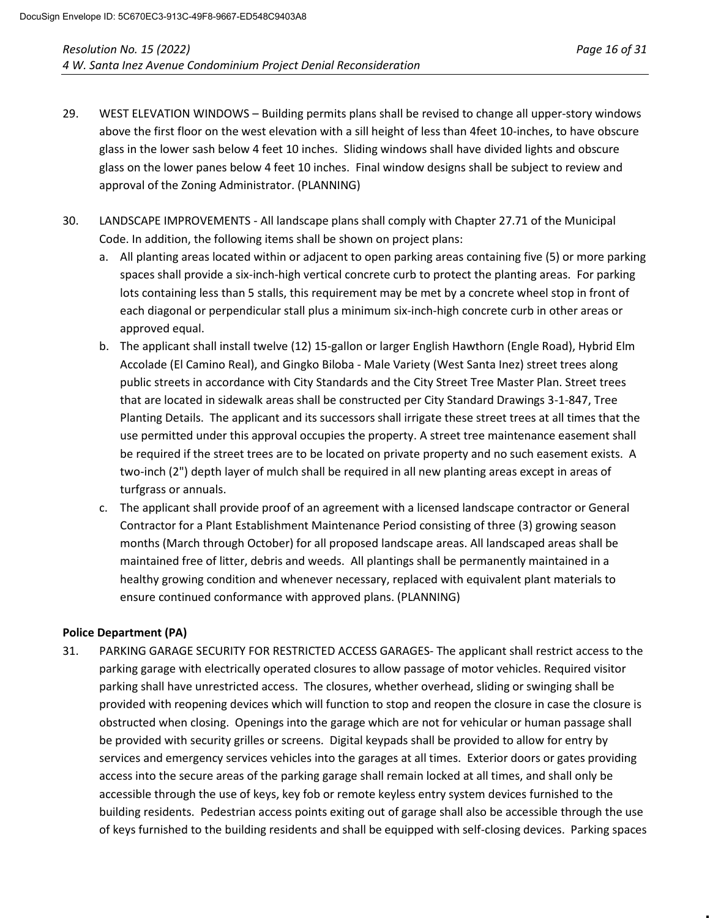- 29. WEST ELEVATION WINDOWS Building permits plans shall be revised to change all upper-story windows above the first floor on the west elevation with a sill height of less than 4feet 10-inches, to have obscure glass in the lower sash below 4 feet 10 inches. Sliding windows shall have divided lights and obscure glass on the lower panes below 4 feet 10 inches. Final window designs shall be subject to review and approval of the Zoning Administrator. (PLANNING)
- 30. LANDSCAPE IMPROVEMENTS All landscape plans shall comply with Chapter 27.71 of the Municipal Code. In addition, the following items shall be shown on project plans:
	- a. All planting areas located within or adjacent to open parking areas containing five (5) or more parking spaces shall provide a six-inch-high vertical concrete curb to protect the planting areas. For parking lots containing less than 5 stalls, this requirement may be met by a concrete wheel stop in front of each diagonal or perpendicular stall plus a minimum six-inch-high concrete curb in other areas or approved equal.
	- b. The applicant shall install twelve (12) 15-gallon or larger English Hawthorn (Engle Road), Hybrid Elm Accolade (El Camino Real), and Gingko Biloba - Male Variety (West Santa Inez) street trees along public streets in accordance with City Standards and the City Street Tree Master Plan. Street trees that are located in sidewalk areas shall be constructed per City Standard Drawings 3-1-847, Tree Planting Details. The applicant and its successors shall irrigate these street trees at all times that the use permitted under this approval occupies the property. A street tree maintenance easement shall be required if the street trees are to be located on private property and no such easement exists. A two-inch (2") depth layer of mulch shall be required in all new planting areas except in areas of turfgrass or annuals.
	- c. The applicant shall provide proof of an agreement with a licensed landscape contractor or General Contractor for a Plant Establishment Maintenance Period consisting of three (3) growing season months (March through October) for all proposed landscape areas. All landscaped areas shall be maintained free of litter, debris and weeds. All plantings shall be permanently maintained in a healthy growing condition and whenever necessary, replaced with equivalent plant materials to ensure continued conformance with approved plans. (PLANNING)

#### **Police Department (PA)**

31. PARKING GARAGE SECURITY FOR RESTRICTED ACCESS GARAGES- The applicant shall restrict access to the parking garage with electrically operated closures to allow passage of motor vehicles. Required visitor parking shall have unrestricted access. The closures, whether overhead, sliding or swinging shall be provided with reopening devices which will function to stop and reopen the closure in case the closure is obstructed when closing. Openings into the garage which are not for vehicular or human passage shall be provided with security grilles or screens. Digital keypads shall be provided to allow for entry by services and emergency services vehicles into the garages at all times. Exterior doors or gates providing access into the secure areas of the parking garage shall remain locked at all times, and shall only be accessible through the use of keys, key fob or remote keyless entry system devices furnished to the building residents. Pedestrian access points exiting out of garage shall also be accessible through the use of keys furnished to the building residents and shall be equipped with self-closing devices. Parking spaces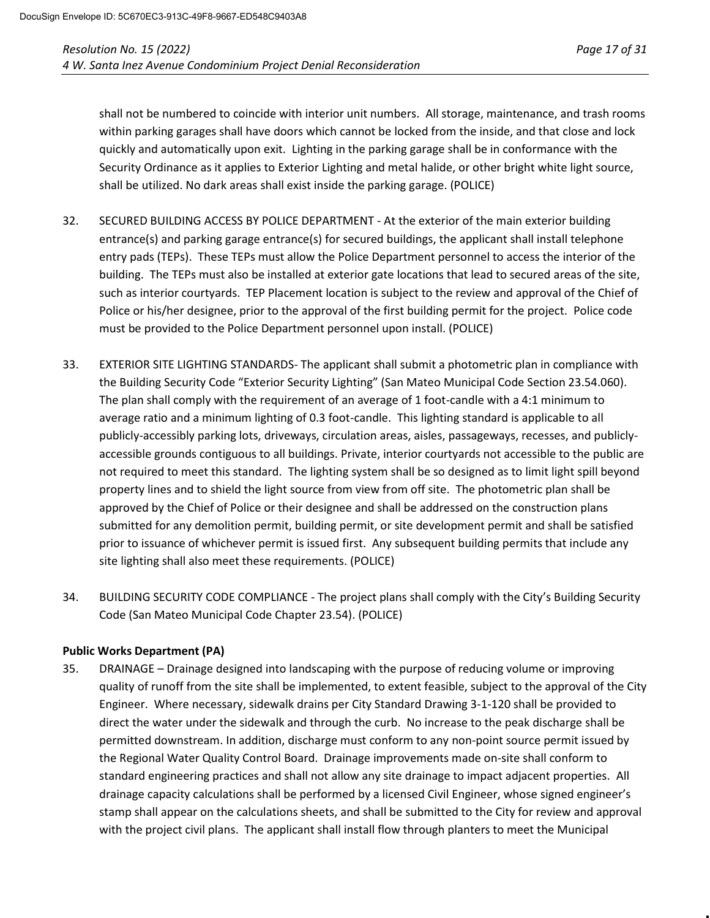shall not be numbered to coincide with interior unit numbers. All storage, maintenance, and trash rooms within parking garages shall have doors which cannot be locked from the inside, and that close and lock quickly and automatically upon exit. Lighting in the parking garage shall be in conformance with the Security Ordinance as it applies to Exterior Lighting and metal halide, or other bright white light source, shall be utilized. No dark areas shall exist inside the parking garage. (POLICE)

- 32. SECURED BUILDING ACCESS BY POLICE DEPARTMENT At the exterior of the main exterior building entrance(s) and parking garage entrance(s) for secured buildings, the applicant shall install telephone entry pads (TEPs). These TEPs must allow the Police Department personnel to access the interior of the building. The TEPs must also be installed at exterior gate locations that lead to secured areas of the site, such as interior courtyards. TEP Placement location is subject to the review and approval of the Chief of Police or his/her designee, prior to the approval of the first building permit for the project. Police code must be provided to the Police Department personnel upon install. (POLICE)
- 33. EXTERIOR SITE LIGHTING STANDARDS- The applicant shall submit a photometric plan in compliance with the Building Security Code "Exterior Security Lighting" (San Mateo Municipal Code Section 23.54.060). The plan shall comply with the requirement of an average of 1 foot-candle with a 4:1 minimum to average ratio and a minimum lighting of 0.3 foot-candle. This lighting standard is applicable to all publicly-accessibly parking lots, driveways, circulation areas, aisles, passageways, recesses, and publiclyaccessible grounds contiguous to all buildings. Private, interior courtyards not accessible to the public are not required to meet this standard. The lighting system shall be so designed as to limit light spill beyond property lines and to shield the light source from view from off site. The photometric plan shall be approved by the Chief of Police or their designee and shall be addressed on the construction plans submitted for any demolition permit, building permit, or site development permit and shall be satisfied prior to issuance of whichever permit is issued first. Any subsequent building permits that include any site lighting shall also meet these requirements. (POLICE)
- 34. BUILDING SECURITY CODE COMPLIANCE The project plans shall comply with the City's Building Security Code (San Mateo Municipal Code Chapter 23.54). (POLICE)

# **Public Works Department (PA)**

35. DRAINAGE – Drainage designed into landscaping with the purpose of reducing volume or improving quality of runoff from the site shall be implemented, to extent feasible, subject to the approval of the City Engineer. Where necessary, sidewalk drains per City Standard Drawing 3-1-120 shall be provided to direct the water under the sidewalk and through the curb. No increase to the peak discharge shall be permitted downstream. In addition, discharge must conform to any non-point source permit issued by the Regional Water Quality Control Board. Drainage improvements made on-site shall conform to standard engineering practices and shall not allow any site drainage to impact adjacent properties. All drainage capacity calculations shall be performed by a licensed Civil Engineer, whose signed engineer's stamp shall appear on the calculations sheets, and shall be submitted to the City for review and approval with the project civil plans. The applicant shall install flow through planters to meet the Municipal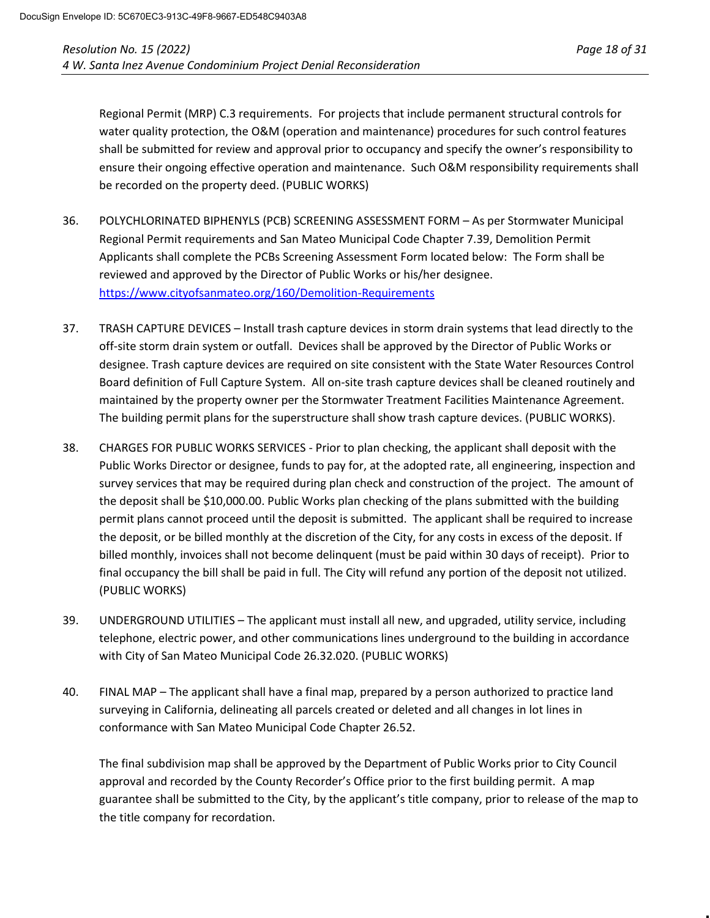Regional Permit (MRP) C.3 requirements. For projects that include permanent structural controls for water quality protection, the O&M (operation and maintenance) procedures for such control features shall be submitted for review and approval prior to occupancy and specify the owner's responsibility to ensure their ongoing effective operation and maintenance. Such O&M responsibility requirements shall be recorded on the property deed. (PUBLIC WORKS)

- 36. POLYCHLORINATED BIPHENYLS (PCB) SCREENING ASSESSMENT FORM As per Stormwater Municipal Regional Permit requirements and San Mateo Municipal Code Chapter 7.39, Demolition Permit Applicants shall complete the PCBs Screening Assessment Form located below: The Form shall be reviewed and approved by the Director of Public Works or his/her designee. <https://www.cityofsanmateo.org/160/Demolition-Requirements>
- 37. TRASH CAPTURE DEVICES Install trash capture devices in storm drain systems that lead directly to the off-site storm drain system or outfall. Devices shall be approved by the Director of Public Works or designee. Trash capture devices are required on site consistent with the State Water Resources Control Board definition of Full Capture System. All on-site trash capture devices shall be cleaned routinely and maintained by the property owner per the Stormwater Treatment Facilities Maintenance Agreement. The building permit plans for the superstructure shall show trash capture devices. (PUBLIC WORKS).
- 38. CHARGES FOR PUBLIC WORKS SERVICES Prior to plan checking, the applicant shall deposit with the Public Works Director or designee, funds to pay for, at the adopted rate, all engineering, inspection and survey services that may be required during plan check and construction of the project. The amount of the deposit shall be \$10,000.00. Public Works plan checking of the plans submitted with the building permit plans cannot proceed until the deposit is submitted. The applicant shall be required to increase the deposit, or be billed monthly at the discretion of the City, for any costs in excess of the deposit. If billed monthly, invoices shall not become delinquent (must be paid within 30 days of receipt). Prior to final occupancy the bill shall be paid in full. The City will refund any portion of the deposit not utilized. (PUBLIC WORKS)
- 39. UNDERGROUND UTILITIES The applicant must install all new, and upgraded, utility service, including telephone, electric power, and other communications lines underground to the building in accordance with City of San Mateo Municipal Code 26.32.020. (PUBLIC WORKS)
- 40. FINAL MAP The applicant shall have a final map, prepared by a person authorized to practice land surveying in California, delineating all parcels created or deleted and all changes in lot lines in conformance with San Mateo Municipal Code Chapter 26.52.

The final subdivision map shall be approved by the Department of Public Works prior to City Council approval and recorded by the County Recorder's Office prior to the first building permit. A map guarantee shall be submitted to the City, by the applicant's title company, prior to release of the map to the title company for recordation.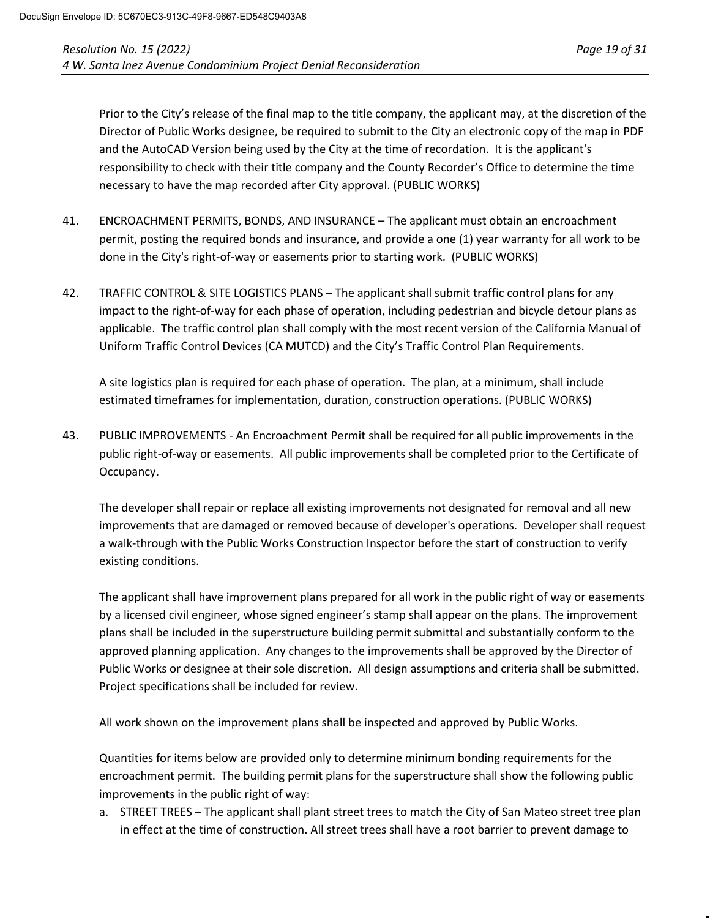Prior to the City's release of the final map to the title company, the applicant may, at the discretion of the Director of Public Works designee, be required to submit to the City an electronic copy of the map in PDF and the AutoCAD Version being used by the City at the time of recordation. It is the applicant's responsibility to check with their title company and the County Recorder's Office to determine the time necessary to have the map recorded after City approval. (PUBLIC WORKS)

- 41. ENCROACHMENT PERMITS, BONDS, AND INSURANCE The applicant must obtain an encroachment permit, posting the required bonds and insurance, and provide a one (1) year warranty for all work to be done in the City's right-of-way or easements prior to starting work. (PUBLIC WORKS)
- 42. TRAFFIC CONTROL & SITE LOGISTICS PLANS The applicant shall submit traffic control plans for any impact to the right-of-way for each phase of operation, including pedestrian and bicycle detour plans as applicable. The traffic control plan shall comply with the most recent version of the California Manual of Uniform Traffic Control Devices (CA MUTCD) and the City's Traffic Control Plan Requirements.

A site logistics plan is required for each phase of operation. The plan, at a minimum, shall include estimated timeframes for implementation, duration, construction operations. (PUBLIC WORKS)

43. PUBLIC IMPROVEMENTS - An Encroachment Permit shall be required for all public improvements in the public right-of-way or easements. All public improvements shall be completed prior to the Certificate of Occupancy.

The developer shall repair or replace all existing improvements not designated for removal and all new improvements that are damaged or removed because of developer's operations. Developer shall request a walk-through with the Public Works Construction Inspector before the start of construction to verify existing conditions.

The applicant shall have improvement plans prepared for all work in the public right of way or easements by a licensed civil engineer, whose signed engineer's stamp shall appear on the plans. The improvement plans shall be included in the superstructure building permit submittal and substantially conform to the approved planning application. Any changes to the improvements shall be approved by the Director of Public Works or designee at their sole discretion. All design assumptions and criteria shall be submitted. Project specifications shall be included for review.

All work shown on the improvement plans shall be inspected and approved by Public Works.

Quantities for items below are provided only to determine minimum bonding requirements for the encroachment permit. The building permit plans for the superstructure shall show the following public improvements in the public right of way:

a. STREET TREES – The applicant shall plant street trees to match the City of San Mateo street tree plan in effect at the time of construction. All street trees shall have a root barrier to prevent damage to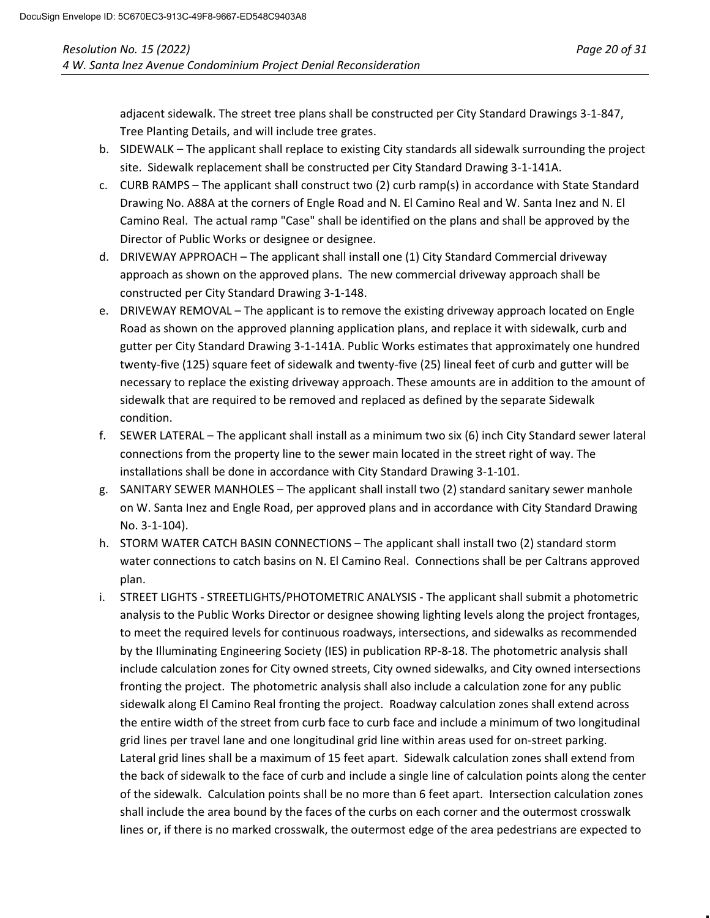adjacent sidewalk. The street tree plans shall be constructed per City Standard Drawings 3-1-847, Tree Planting Details, and will include tree grates.

- b. SIDEWALK The applicant shall replace to existing City standards all sidewalk surrounding the project site. Sidewalk replacement shall be constructed per City Standard Drawing 3-1-141A.
- c. CURB RAMPS The applicant shall construct two (2) curb ramp(s) in accordance with State Standard Drawing No. A88A at the corners of Engle Road and N. El Camino Real and W. Santa Inez and N. El Camino Real. The actual ramp "Case" shall be identified on the plans and shall be approved by the Director of Public Works or designee or designee.
- d. DRIVEWAY APPROACH The applicant shall install one (1) City Standard Commercial driveway approach as shown on the approved plans. The new commercial driveway approach shall be constructed per City Standard Drawing 3-1-148.
- e. DRIVEWAY REMOVAL The applicant is to remove the existing driveway approach located on Engle Road as shown on the approved planning application plans, and replace it with sidewalk, curb and gutter per City Standard Drawing 3-1-141A. Public Works estimates that approximately one hundred twenty-five (125) square feet of sidewalk and twenty-five (25) lineal feet of curb and gutter will be necessary to replace the existing driveway approach. These amounts are in addition to the amount of sidewalk that are required to be removed and replaced as defined by the separate Sidewalk condition.
- f. SEWER LATERAL The applicant shall install as a minimum two six (6) inch City Standard sewer lateral connections from the property line to the sewer main located in the street right of way. The installations shall be done in accordance with City Standard Drawing 3-1-101.
- g. SANITARY SEWER MANHOLES The applicant shall install two (2) standard sanitary sewer manhole on W. Santa Inez and Engle Road, per approved plans and in accordance with City Standard Drawing No. 3-1-104).
- h. STORM WATER CATCH BASIN CONNECTIONS The applicant shall install two (2) standard storm water connections to catch basins on N. El Camino Real. Connections shall be per Caltrans approved plan.
- i. STREET LIGHTS STREETLIGHTS/PHOTOMETRIC ANALYSIS The applicant shall submit a photometric analysis to the Public Works Director or designee showing lighting levels along the project frontages, to meet the required levels for continuous roadways, intersections, and sidewalks as recommended by the Illuminating Engineering Society (IES) in publication RP-8-18. The photometric analysis shall include calculation zones for City owned streets, City owned sidewalks, and City owned intersections fronting the project. The photometric analysis shall also include a calculation zone for any public sidewalk along El Camino Real fronting the project. Roadway calculation zones shall extend across the entire width of the street from curb face to curb face and include a minimum of two longitudinal grid lines per travel lane and one longitudinal grid line within areas used for on-street parking. Lateral grid lines shall be a maximum of 15 feet apart. Sidewalk calculation zones shall extend from the back of sidewalk to the face of curb and include a single line of calculation points along the center of the sidewalk. Calculation points shall be no more than 6 feet apart. Intersection calculation zones shall include the area bound by the faces of the curbs on each corner and the outermost crosswalk lines or, if there is no marked crosswalk, the outermost edge of the area pedestrians are expected to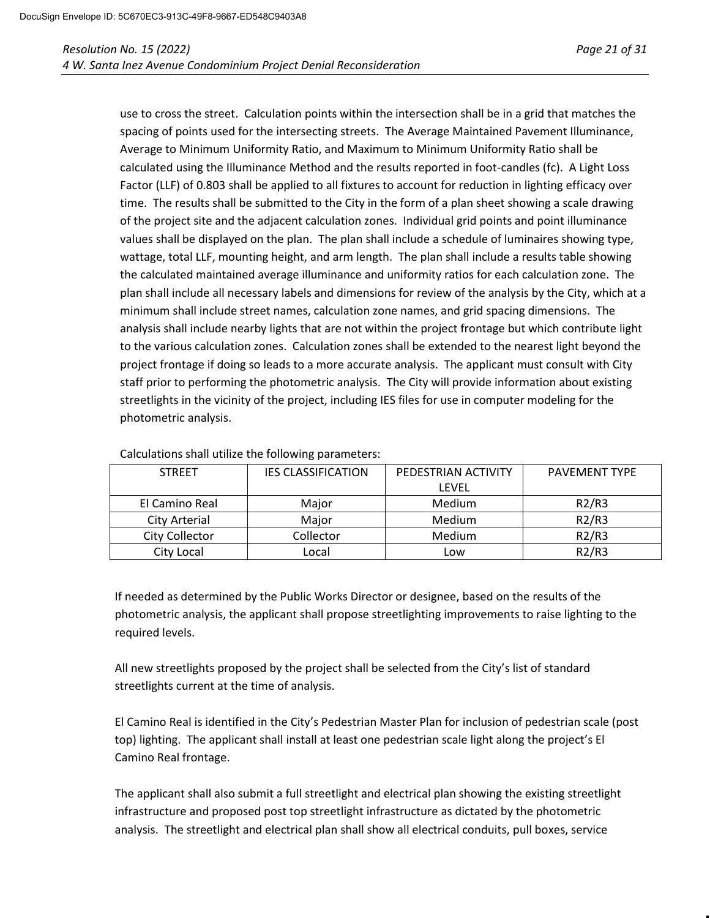use to cross the street. Calculation points within the intersection shall be in a grid that matches the spacing of points used for the intersecting streets. The Average Maintained Pavement Illuminance, Average to Minimum Uniformity Ratio, and Maximum to Minimum Uniformity Ratio shall be calculated using the Illuminance Method and the results reported in foot-candles (fc). A Light Loss Factor (LLF) of 0.803 shall be applied to all fixtures to account for reduction in lighting efficacy over time. The results shall be submitted to the City in the form of a plan sheet showing a scale drawing of the project site and the adjacent calculation zones. Individual grid points and point illuminance values shall be displayed on the plan. The plan shall include a schedule of luminaires showing type, wattage, total LLF, mounting height, and arm length. The plan shall include a results table showing the calculated maintained average illuminance and uniformity ratios for each calculation zone. The plan shall include all necessary labels and dimensions for review of the analysis by the City, which at a minimum shall include street names, calculation zone names, and grid spacing dimensions. The analysis shall include nearby lights that are not within the project frontage but which contribute light to the various calculation zones. Calculation zones shall be extended to the nearest light beyond the project frontage if doing so leads to a more accurate analysis. The applicant must consult with City staff prior to performing the photometric analysis. The City will provide information about existing streetlights in the vicinity of the project, including IES files for use in computer modeling for the photometric analysis.

| <b>STREET</b>        | <b>IES CLASSIFICATION</b> | PEDESTRIAN ACTIVITY | <b>PAVEMENT TYPE</b> |
|----------------------|---------------------------|---------------------|----------------------|
|                      |                           | LFVFL               |                      |
| El Camino Real       | Maior                     | Medium              | R2/R3                |
| <b>City Arterial</b> | Major                     | Medium              | R2/R3                |
| City Collector       | Collector                 | Medium              | R2/R3                |
| City Local           | Local                     | Low                 | R2/R3                |

Calculations shall utilize the following parameters:

If needed as determined by the Public Works Director or designee, based on the results of the photometric analysis, the applicant shall propose streetlighting improvements to raise lighting to the required levels.

All new streetlights proposed by the project shall be selected from the City's list of standard streetlights current at the time of analysis.

El Camino Real is identified in the City's Pedestrian Master Plan for inclusion of pedestrian scale (post top) lighting. The applicant shall install at least one pedestrian scale light along the project's El Camino Real frontage.

The applicant shall also submit a full streetlight and electrical plan showing the existing streetlight infrastructure and proposed post top streetlight infrastructure as dictated by the photometric analysis. The streetlight and electrical plan shall show all electrical conduits, pull boxes, service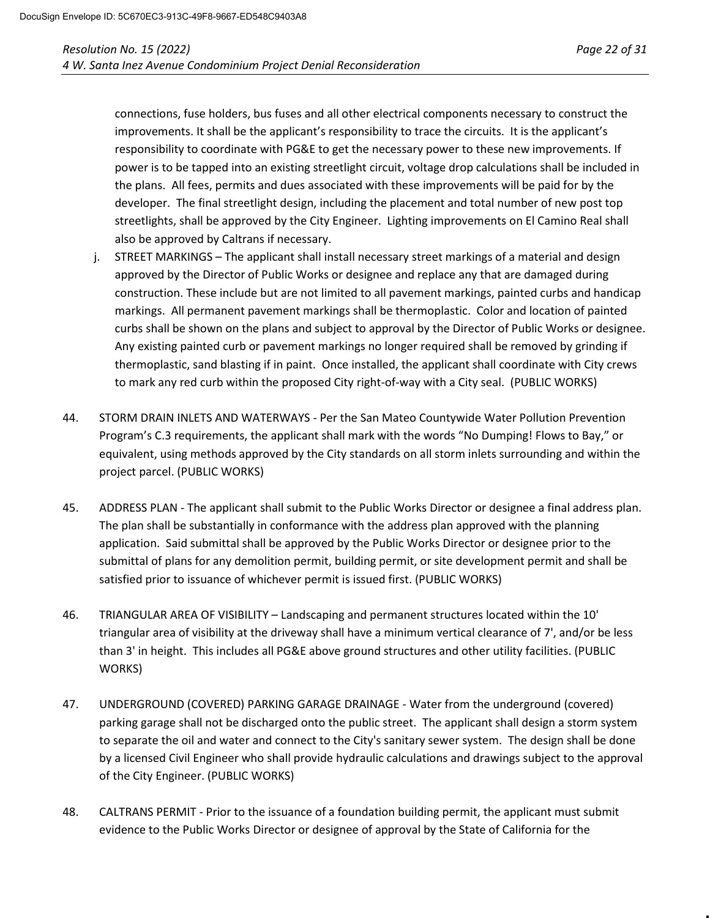connections, fuse holders, bus fuses and all other electrical components necessary to construct the improvements. It shall be the applicant's responsibility to trace the circuits. It is the applicant's responsibility to coordinate with PG&E to get the necessary power to these new improvements. If power is to be tapped into an existing streetlight circuit, voltage drop calculations shall be included in the plans. All fees, permits and dues associated with these improvements will be paid for by the developer. The final streetlight design, including the placement and total number of new post top streetlights, shall be approved by the City Engineer. Lighting improvements on El Camino Real shall also be approved by Caltrans if necessary.

- j. STREET MARKINGS The applicant shall install necessary street markings of a material and design approved by the Director of Public Works or designee and replace any that are damaged during construction. These include but are not limited to all pavement markings, painted curbs and handicap markings. All permanent pavement markings shall be thermoplastic. Color and location of painted curbs shall be shown on the plans and subject to approval by the Director of Public Works or designee. Any existing painted curb or pavement markings no longer required shall be removed by grinding if thermoplastic, sand blasting if in paint. Once installed, the applicant shall coordinate with City crews to mark any red curb within the proposed City right-of-way with a City seal. (PUBLIC WORKS)
- 44. STORM DRAIN INLETS AND WATERWAYS Per the San Mateo Countywide Water Pollution Prevention Program's C.3 requirements, the applicant shall mark with the words "No Dumping! Flows to Bay," or equivalent, using methods approved by the City standards on all storm inlets surrounding and within the project parcel. (PUBLIC WORKS)
- 45. ADDRESS PLAN The applicant shall submit to the Public Works Director or designee a final address plan. The plan shall be substantially in conformance with the address plan approved with the planning application. Said submittal shall be approved by the Public Works Director or designee prior to the submittal of plans for any demolition permit, building permit, or site development permit and shall be satisfied prior to issuance of whichever permit is issued first. (PUBLIC WORKS)
- 46. TRIANGULAR AREA OF VISIBILITY Landscaping and permanent structures located within the 10' triangular area of visibility at the driveway shall have a minimum vertical clearance of 7', and/or be less than 3' in height. This includes all PG&E above ground structures and other utility facilities. (PUBLIC WORKS)
- 47. UNDERGROUND (COVERED) PARKING GARAGE DRAINAGE Water from the underground (covered) parking garage shall not be discharged onto the public street. The applicant shall design a storm system to separate the oil and water and connect to the City's sanitary sewer system. The design shall be done by a licensed Civil Engineer who shall provide hydraulic calculations and drawings subject to the approval of the City Engineer. (PUBLIC WORKS)
- 48. CALTRANS PERMIT Prior to the issuance of a foundation building permit, the applicant must submit evidence to the Public Works Director or designee of approval by the State of California for the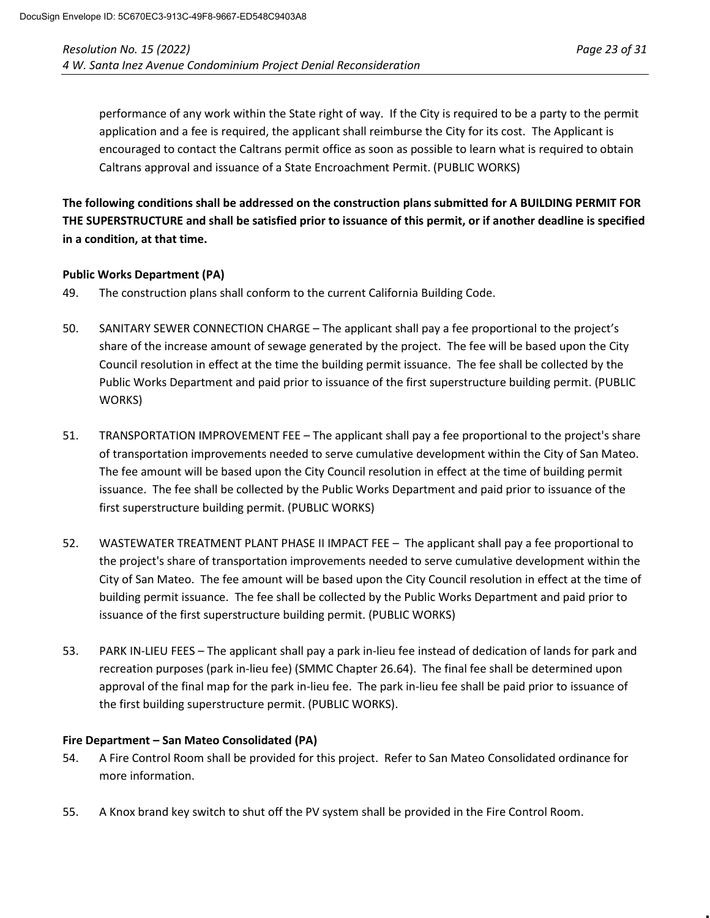performance of any work within the State right of way. If the City is required to be a party to the permit application and a fee is required, the applicant shall reimburse the City for its cost. The Applicant is encouraged to contact the Caltrans permit office as soon as possible to learn what is required to obtain Caltrans approval and issuance of a State Encroachment Permit. (PUBLIC WORKS)

**The following conditions shall be addressed on the construction plans submitted for A BUILDING PERMIT FOR THE SUPERSTRUCTURE and shall be satisfied prior to issuance of this permit, or if another deadline is specified in a condition, at that time.**

#### **Public Works Department (PA)**

- 49. The construction plans shall conform to the current California Building Code.
- 50. SANITARY SEWER CONNECTION CHARGE The applicant shall pay a fee proportional to the project's share of the increase amount of sewage generated by the project. The fee will be based upon the City Council resolution in effect at the time the building permit issuance. The fee shall be collected by the Public Works Department and paid prior to issuance of the first superstructure building permit. (PUBLIC WORKS)
- 51. TRANSPORTATION IMPROVEMENT FEE The applicant shall pay a fee proportional to the project's share of transportation improvements needed to serve cumulative development within the City of San Mateo. The fee amount will be based upon the City Council resolution in effect at the time of building permit issuance. The fee shall be collected by the Public Works Department and paid prior to issuance of the first superstructure building permit. (PUBLIC WORKS)
- 52. WASTEWATER TREATMENT PLANT PHASE II IMPACT FEE The applicant shall pay a fee proportional to the project's share of transportation improvements needed to serve cumulative development within the City of San Mateo. The fee amount will be based upon the City Council resolution in effect at the time of building permit issuance. The fee shall be collected by the Public Works Department and paid prior to issuance of the first superstructure building permit. (PUBLIC WORKS)
- 53. PARK IN-LIEU FEES The applicant shall pay a park in-lieu fee instead of dedication of lands for park and recreation purposes (park in-lieu fee) (SMMC Chapter 26.64). The final fee shall be determined upon approval of the final map for the park in-lieu fee. The park in-lieu fee shall be paid prior to issuance of the first building superstructure permit. (PUBLIC WORKS).

#### **Fire Department – San Mateo Consolidated (PA)**

- 54. A Fire Control Room shall be provided for this project. Refer to San Mateo Consolidated ordinance for more information.
- 55. A Knox brand key switch to shut off the PV system shall be provided in the Fire Control Room.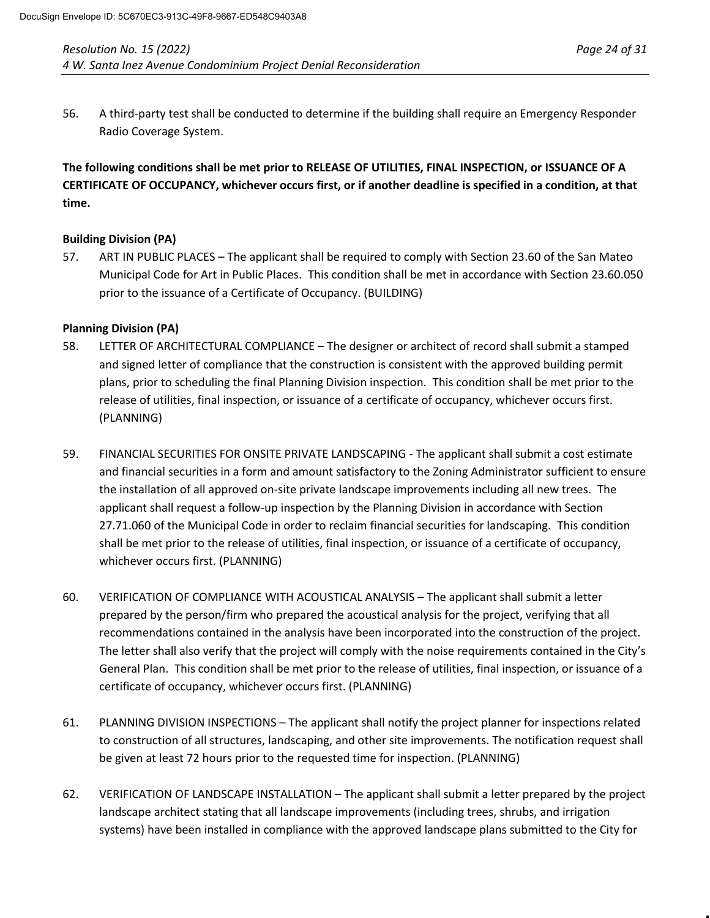**The following conditions shall be met prior to RELEASE OF UTILITIES, FINAL INSPECTION, or ISSUANCE OF A CERTIFICATE OF OCCUPANCY, whichever occurs first, or if another deadline is specified in a condition, at that time.**

## **Building Division (PA)**

57. ART IN PUBLIC PLACES – The applicant shall be required to comply with Section 23.60 of the San Mateo Municipal Code for Art in Public Places. This condition shall be met in accordance with Section 23.60.050 prior to the issuance of a Certificate of Occupancy. (BUILDING)

#### **Planning Division (PA)**

- 58. LETTER OF ARCHITECTURAL COMPLIANCE The designer or architect of record shall submit a stamped and signed letter of compliance that the construction is consistent with the approved building permit plans, prior to scheduling the final Planning Division inspection. This condition shall be met prior to the release of utilities, final inspection, or issuance of a certificate of occupancy, whichever occurs first. (PLANNING)
- 59. FINANCIAL SECURITIES FOR ONSITE PRIVATE LANDSCAPING The applicant shall submit a cost estimate and financial securities in a form and amount satisfactory to the Zoning Administrator sufficient to ensure the installation of all approved on-site private landscape improvements including all new trees. The applicant shall request a follow-up inspection by the Planning Division in accordance with Section 27.71.060 of the Municipal Code in order to reclaim financial securities for landscaping. This condition shall be met prior to the release of utilities, final inspection, or issuance of a certificate of occupancy, whichever occurs first. (PLANNING)
- 60. VERIFICATION OF COMPLIANCE WITH ACOUSTICAL ANALYSIS The applicant shall submit a letter prepared by the person/firm who prepared the acoustical analysis for the project, verifying that all recommendations contained in the analysis have been incorporated into the construction of the project. The letter shall also verify that the project will comply with the noise requirements contained in the City's General Plan. This condition shall be met prior to the release of utilities, final inspection, or issuance of a certificate of occupancy, whichever occurs first. (PLANNING)
- 61. PLANNING DIVISION INSPECTIONS The applicant shall notify the project planner for inspections related to construction of all structures, landscaping, and other site improvements. The notification request shall be given at least 72 hours prior to the requested time for inspection. (PLANNING)
- 62. VERIFICATION OF LANDSCAPE INSTALLATION The applicant shall submit a letter prepared by the project landscape architect stating that all landscape improvements (including trees, shrubs, and irrigation systems) have been installed in compliance with the approved landscape plans submitted to the City for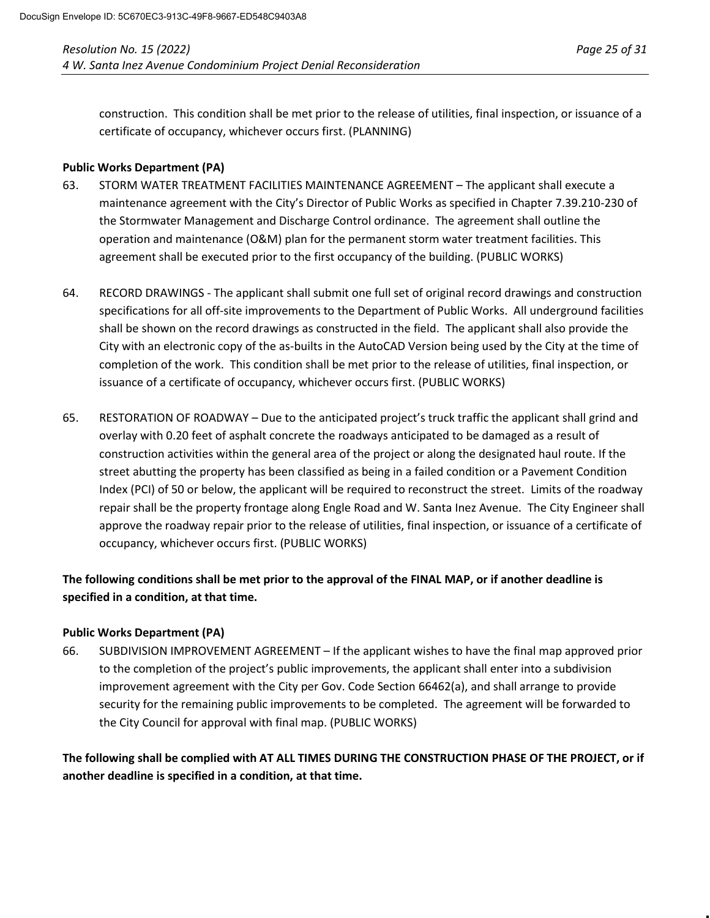construction. This condition shall be met prior to the release of utilities, final inspection, or issuance of a certificate of occupancy, whichever occurs first. (PLANNING)

## **Public Works Department (PA)**

- 63. STORM WATER TREATMENT FACILITIES MAINTENANCE AGREEMENT The applicant shall execute a maintenance agreement with the City's Director of Public Works as specified in Chapter 7.39.210-230 of the Stormwater Management and Discharge Control ordinance. The agreement shall outline the operation and maintenance (O&M) plan for the permanent storm water treatment facilities. This agreement shall be executed prior to the first occupancy of the building. (PUBLIC WORKS)
- 64. RECORD DRAWINGS The applicant shall submit one full set of original record drawings and construction specifications for all off-site improvements to the Department of Public Works. All underground facilities shall be shown on the record drawings as constructed in the field. The applicant shall also provide the City with an electronic copy of the as-builts in the AutoCAD Version being used by the City at the time of completion of the work. This condition shall be met prior to the release of utilities, final inspection, or issuance of a certificate of occupancy, whichever occurs first. (PUBLIC WORKS)
- 65. RESTORATION OF ROADWAY Due to the anticipated project's truck traffic the applicant shall grind and overlay with 0.20 feet of asphalt concrete the roadways anticipated to be damaged as a result of construction activities within the general area of the project or along the designated haul route. If the street abutting the property has been classified as being in a failed condition or a Pavement Condition Index (PCI) of 50 or below, the applicant will be required to reconstruct the street. Limits of the roadway repair shall be the property frontage along Engle Road and W. Santa Inez Avenue. The City Engineer shall approve the roadway repair prior to the release of utilities, final inspection, or issuance of a certificate of occupancy, whichever occurs first. (PUBLIC WORKS)

# **The following conditions shall be met prior to the approval of the FINAL MAP, or if another deadline is specified in a condition, at that time.**

#### **Public Works Department (PA)**

66. SUBDIVISION IMPROVEMENT AGREEMENT – If the applicant wishes to have the final map approved prior to the completion of the project's public improvements, the applicant shall enter into a subdivision improvement agreement with the City per Gov. Code Section 66462(a), and shall arrange to provide security for the remaining public improvements to be completed. The agreement will be forwarded to the City Council for approval with final map. (PUBLIC WORKS)

**The following shall be complied with AT ALL TIMES DURING THE CONSTRUCTION PHASE OF THE PROJECT, or if another deadline is specified in a condition, at that time.**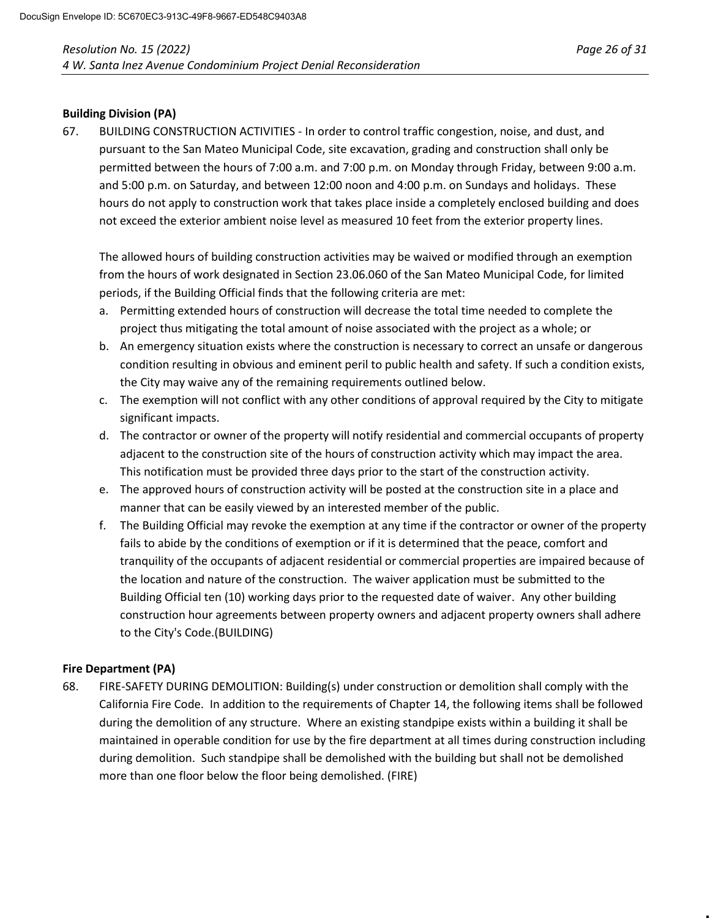#### **Building Division (PA)**

67. BUILDING CONSTRUCTION ACTIVITIES - In order to control traffic congestion, noise, and dust, and pursuant to the San Mateo Municipal Code, site excavation, grading and construction shall only be permitted between the hours of 7:00 a.m. and 7:00 p.m. on Monday through Friday, between 9:00 a.m. and 5:00 p.m. on Saturday, and between 12:00 noon and 4:00 p.m. on Sundays and holidays. These hours do not apply to construction work that takes place inside a completely enclosed building and does not exceed the exterior ambient noise level as measured 10 feet from the exterior property lines.

The allowed hours of building construction activities may be waived or modified through an exemption from the hours of work designated in Section 23.06.060 of the San Mateo Municipal Code, for limited periods, if the Building Official finds that the following criteria are met:

- a. Permitting extended hours of construction will decrease the total time needed to complete the project thus mitigating the total amount of noise associated with the project as a whole; or
- b. An emergency situation exists where the construction is necessary to correct an unsafe or dangerous condition resulting in obvious and eminent peril to public health and safety. If such a condition exists, the City may waive any of the remaining requirements outlined below.
- c. The exemption will not conflict with any other conditions of approval required by the City to mitigate significant impacts.
- d. The contractor or owner of the property will notify residential and commercial occupants of property adjacent to the construction site of the hours of construction activity which may impact the area. This notification must be provided three days prior to the start of the construction activity.
- e. The approved hours of construction activity will be posted at the construction site in a place and manner that can be easily viewed by an interested member of the public.
- f. The Building Official may revoke the exemption at any time if the contractor or owner of the property fails to abide by the conditions of exemption or if it is determined that the peace, comfort and tranquility of the occupants of adjacent residential or commercial properties are impaired because of the location and nature of the construction. The waiver application must be submitted to the Building Official ten (10) working days prior to the requested date of waiver. Any other building construction hour agreements between property owners and adjacent property owners shall adhere to the City's Code.(BUILDING)

# **Fire Department (PA)**

68. FIRE-SAFETY DURING DEMOLITION: Building(s) under construction or demolition shall comply with the California Fire Code. In addition to the requirements of Chapter 14, the following items shall be followed during the demolition of any structure. Where an existing standpipe exists within a building it shall be maintained in operable condition for use by the fire department at all times during construction including during demolition. Such standpipe shall be demolished with the building but shall not be demolished more than one floor below the floor being demolished. (FIRE)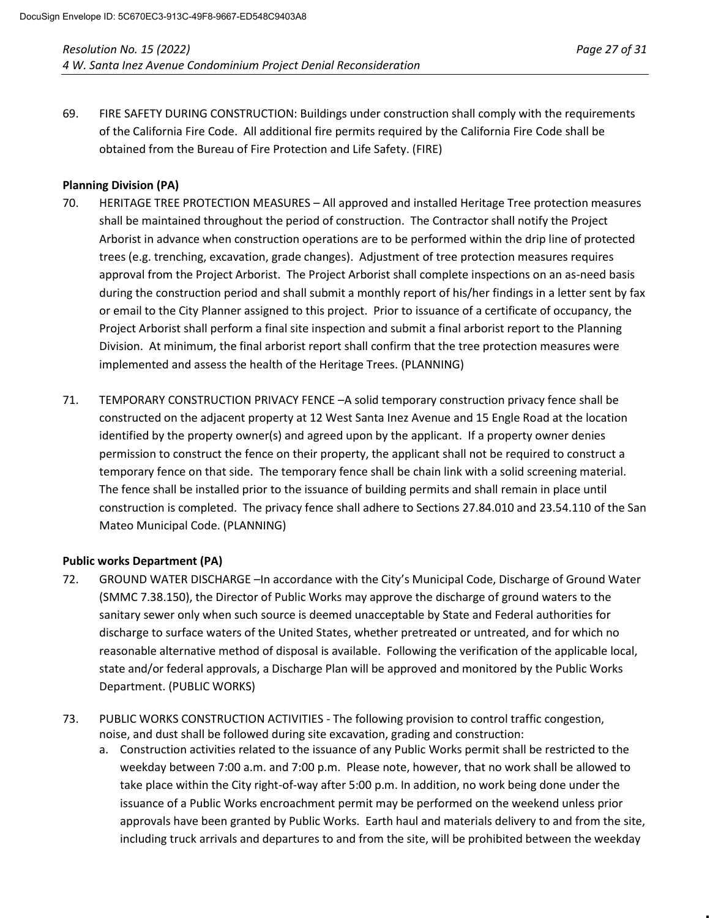69. FIRE SAFETY DURING CONSTRUCTION: Buildings under construction shall comply with the requirements of the California Fire Code. All additional fire permits required by the California Fire Code shall be obtained from the Bureau of Fire Protection and Life Safety. (FIRE)

# **Planning Division (PA)**

- 70. HERITAGE TREE PROTECTION MEASURES All approved and installed Heritage Tree protection measures shall be maintained throughout the period of construction. The Contractor shall notify the Project Arborist in advance when construction operations are to be performed within the drip line of protected trees (e.g. trenching, excavation, grade changes). Adjustment of tree protection measures requires approval from the Project Arborist. The Project Arborist shall complete inspections on an as-need basis during the construction period and shall submit a monthly report of his/her findings in a letter sent by fax or email to the City Planner assigned to this project. Prior to issuance of a certificate of occupancy, the Project Arborist shall perform a final site inspection and submit a final arborist report to the Planning Division. At minimum, the final arborist report shall confirm that the tree protection measures were implemented and assess the health of the Heritage Trees. (PLANNING)
- 71. TEMPORARY CONSTRUCTION PRIVACY FENCE –A solid temporary construction privacy fence shall be constructed on the adjacent property at 12 West Santa Inez Avenue and 15 Engle Road at the location identified by the property owner(s) and agreed upon by the applicant. If a property owner denies permission to construct the fence on their property, the applicant shall not be required to construct a temporary fence on that side. The temporary fence shall be chain link with a solid screening material. The fence shall be installed prior to the issuance of building permits and shall remain in place until construction is completed. The privacy fence shall adhere to Sections 27.84.010 and 23.54.110 of the San Mateo Municipal Code. (PLANNING)

#### **Public works Department (PA)**

- 72. GROUND WATER DISCHARGE –In accordance with the City's Municipal Code, Discharge of Ground Water (SMMC 7.38.150), the Director of Public Works may approve the discharge of ground waters to the sanitary sewer only when such source is deemed unacceptable by State and Federal authorities for discharge to surface waters of the United States, whether pretreated or untreated, and for which no reasonable alternative method of disposal is available. Following the verification of the applicable local, state and/or federal approvals, a Discharge Plan will be approved and monitored by the Public Works Department. (PUBLIC WORKS)
- 73. PUBLIC WORKS CONSTRUCTION ACTIVITIES The following provision to control traffic congestion, noise, and dust shall be followed during site excavation, grading and construction:
	- a. Construction activities related to the issuance of any Public Works permit shall be restricted to the weekday between 7:00 a.m. and 7:00 p.m. Please note, however, that no work shall be allowed to take place within the City right-of-way after 5:00 p.m. In addition, no work being done under the issuance of a Public Works encroachment permit may be performed on the weekend unless prior approvals have been granted by Public Works. Earth haul and materials delivery to and from the site, including truck arrivals and departures to and from the site, will be prohibited between the weekday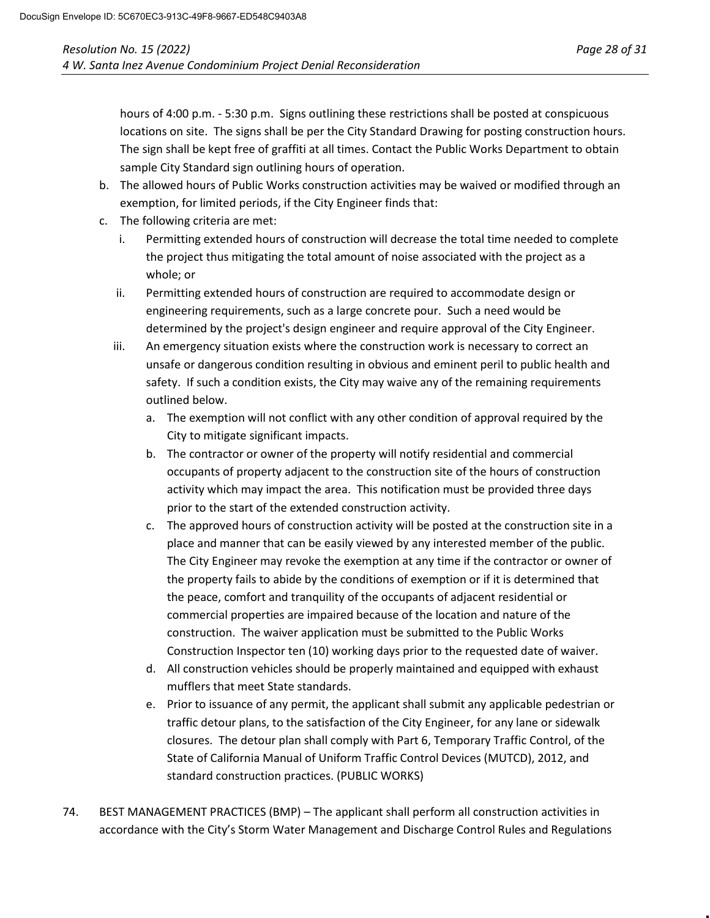hours of 4:00 p.m. - 5:30 p.m. Signs outlining these restrictions shall be posted at conspicuous locations on site. The signs shall be per the City Standard Drawing for posting construction hours. The sign shall be kept free of graffiti at all times. Contact the Public Works Department to obtain sample City Standard sign outlining hours of operation.

- b. The allowed hours of Public Works construction activities may be waived or modified through an exemption, for limited periods, if the City Engineer finds that:
- c. The following criteria are met:
	- i. Permitting extended hours of construction will decrease the total time needed to complete the project thus mitigating the total amount of noise associated with the project as a whole; or
	- ii. Permitting extended hours of construction are required to accommodate design or engineering requirements, such as a large concrete pour. Such a need would be determined by the project's design engineer and require approval of the City Engineer.
	- iii. An emergency situation exists where the construction work is necessary to correct an unsafe or dangerous condition resulting in obvious and eminent peril to public health and safety. If such a condition exists, the City may waive any of the remaining requirements outlined below.
		- a. The exemption will not conflict with any other condition of approval required by the City to mitigate significant impacts.
		- b. The contractor or owner of the property will notify residential and commercial occupants of property adjacent to the construction site of the hours of construction activity which may impact the area. This notification must be provided three days prior to the start of the extended construction activity.
		- c. The approved hours of construction activity will be posted at the construction site in a place and manner that can be easily viewed by any interested member of the public. The City Engineer may revoke the exemption at any time if the contractor or owner of the property fails to abide by the conditions of exemption or if it is determined that the peace, comfort and tranquility of the occupants of adjacent residential or commercial properties are impaired because of the location and nature of the construction. The waiver application must be submitted to the Public Works Construction Inspector ten (10) working days prior to the requested date of waiver.
		- d. All construction vehicles should be properly maintained and equipped with exhaust mufflers that meet State standards.
		- e. Prior to issuance of any permit, the applicant shall submit any applicable pedestrian or traffic detour plans, to the satisfaction of the City Engineer, for any lane or sidewalk closures. The detour plan shall comply with Part 6, Temporary Traffic Control, of the State of California Manual of Uniform Traffic Control Devices (MUTCD), 2012, and standard construction practices. (PUBLIC WORKS)
- 74. BEST MANAGEMENT PRACTICES (BMP) The applicant shall perform all construction activities in accordance with the City's Storm Water Management and Discharge Control Rules and Regulations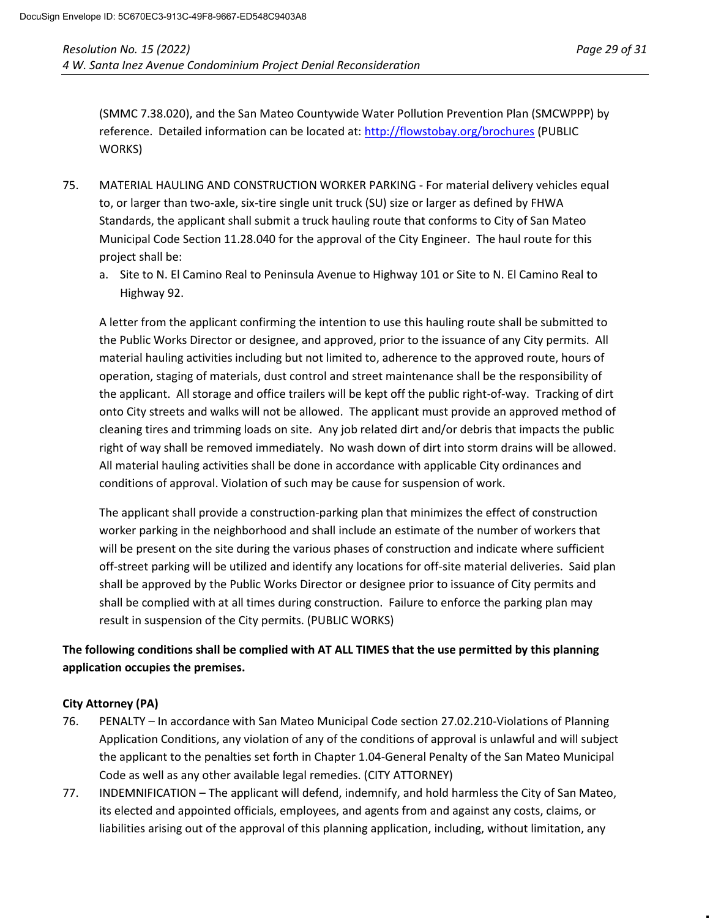(SMMC 7.38.020), and the San Mateo Countywide Water Pollution Prevention Plan (SMCWPPP) by reference. Detailed information can be located at:<http://flowstobay.org/brochures> (PUBLIC WORKS)

- 75. MATERIAL HAULING AND CONSTRUCTION WORKER PARKING For material delivery vehicles equal to, or larger than two-axle, six-tire single unit truck (SU) size or larger as defined by FHWA Standards, the applicant shall submit a truck hauling route that conforms to City of San Mateo Municipal Code Section 11.28.040 for the approval of the City Engineer. The haul route for this project shall be:
	- a. Site to N. El Camino Real to Peninsula Avenue to Highway 101 or Site to N. El Camino Real to Highway 92.

A letter from the applicant confirming the intention to use this hauling route shall be submitted to the Public Works Director or designee, and approved, prior to the issuance of any City permits. All material hauling activities including but not limited to, adherence to the approved route, hours of operation, staging of materials, dust control and street maintenance shall be the responsibility of the applicant. All storage and office trailers will be kept off the public right-of-way. Tracking of dirt onto City streets and walks will not be allowed. The applicant must provide an approved method of cleaning tires and trimming loads on site. Any job related dirt and/or debris that impacts the public right of way shall be removed immediately. No wash down of dirt into storm drains will be allowed. All material hauling activities shall be done in accordance with applicable City ordinances and conditions of approval. Violation of such may be cause for suspension of work.

The applicant shall provide a construction-parking plan that minimizes the effect of construction worker parking in the neighborhood and shall include an estimate of the number of workers that will be present on the site during the various phases of construction and indicate where sufficient off-street parking will be utilized and identify any locations for off-site material deliveries. Said plan shall be approved by the Public Works Director or designee prior to issuance of City permits and shall be complied with at all times during construction. Failure to enforce the parking plan may result in suspension of the City permits. (PUBLIC WORKS)

# **The following conditions shall be complied with AT ALL TIMES that the use permitted by this planning application occupies the premises.**

# **City Attorney (PA)**

- 76. PENALTY In accordance with San Mateo Municipal Code section 27.02.210-Violations of Planning Application Conditions, any violation of any of the conditions of approval is unlawful and will subject the applicant to the penalties set forth in Chapter 1.04-General Penalty of the San Mateo Municipal Code as well as any other available legal remedies. (CITY ATTORNEY)
- 77. INDEMNIFICATION The applicant will defend, indemnify, and hold harmless the City of San Mateo, its elected and appointed officials, employees, and agents from and against any costs, claims, or liabilities arising out of the approval of this planning application, including, without limitation, any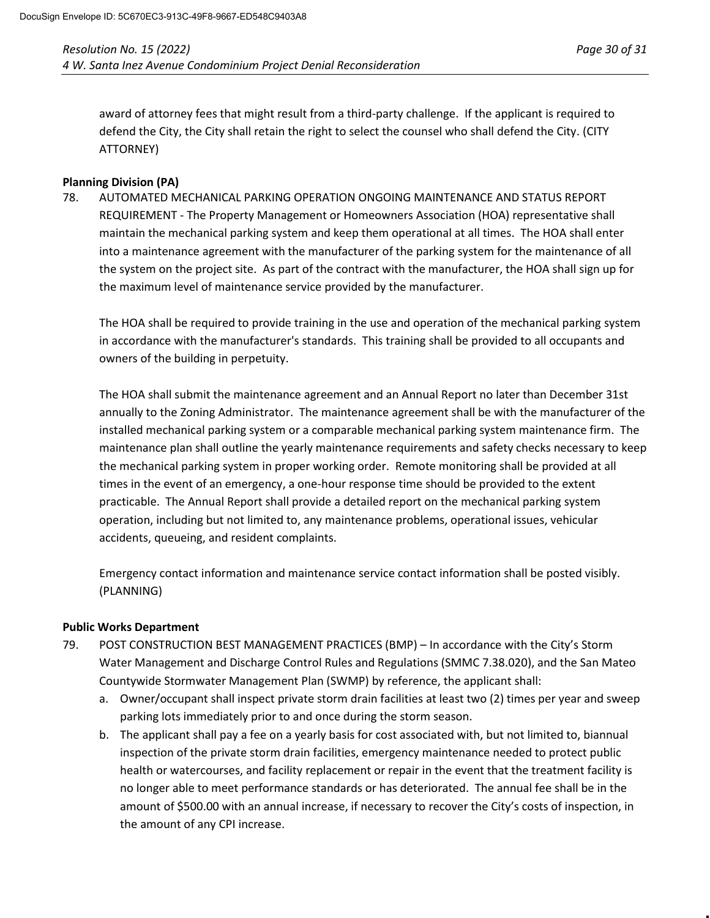award of attorney fees that might result from a third-party challenge. If the applicant is required to defend the City, the City shall retain the right to select the counsel who shall defend the City. (CITY ATTORNEY)

## **Planning Division (PA)**

78. AUTOMATED MECHANICAL PARKING OPERATION ONGOING MAINTENANCE AND STATUS REPORT REQUIREMENT - The Property Management or Homeowners Association (HOA) representative shall maintain the mechanical parking system and keep them operational at all times. The HOA shall enter into a maintenance agreement with the manufacturer of the parking system for the maintenance of all the system on the project site. As part of the contract with the manufacturer, the HOA shall sign up for the maximum level of maintenance service provided by the manufacturer.

The HOA shall be required to provide training in the use and operation of the mechanical parking system in accordance with the manufacturer's standards. This training shall be provided to all occupants and owners of the building in perpetuity.

The HOA shall submit the maintenance agreement and an Annual Report no later than December 31st annually to the Zoning Administrator. The maintenance agreement shall be with the manufacturer of the installed mechanical parking system or a comparable mechanical parking system maintenance firm. The maintenance plan shall outline the yearly maintenance requirements and safety checks necessary to keep the mechanical parking system in proper working order. Remote monitoring shall be provided at all times in the event of an emergency, a one-hour response time should be provided to the extent practicable. The Annual Report shall provide a detailed report on the mechanical parking system operation, including but not limited to, any maintenance problems, operational issues, vehicular accidents, queueing, and resident complaints.

Emergency contact information and maintenance service contact information shall be posted visibly. (PLANNING)

# **Public Works Department**

- 79. POST CONSTRUCTION BEST MANAGEMENT PRACTICES (BMP) In accordance with the City's Storm Water Management and Discharge Control Rules and Regulations (SMMC 7.38.020), and the San Mateo Countywide Stormwater Management Plan (SWMP) by reference, the applicant shall:
	- a. Owner/occupant shall inspect private storm drain facilities at least two (2) times per year and sweep parking lots immediately prior to and once during the storm season.
	- b. The applicant shall pay a fee on a yearly basis for cost associated with, but not limited to, biannual inspection of the private storm drain facilities, emergency maintenance needed to protect public health or watercourses, and facility replacement or repair in the event that the treatment facility is no longer able to meet performance standards or has deteriorated. The annual fee shall be in the amount of \$500.00 with an annual increase, if necessary to recover the City's costs of inspection, in the amount of any CPI increase.